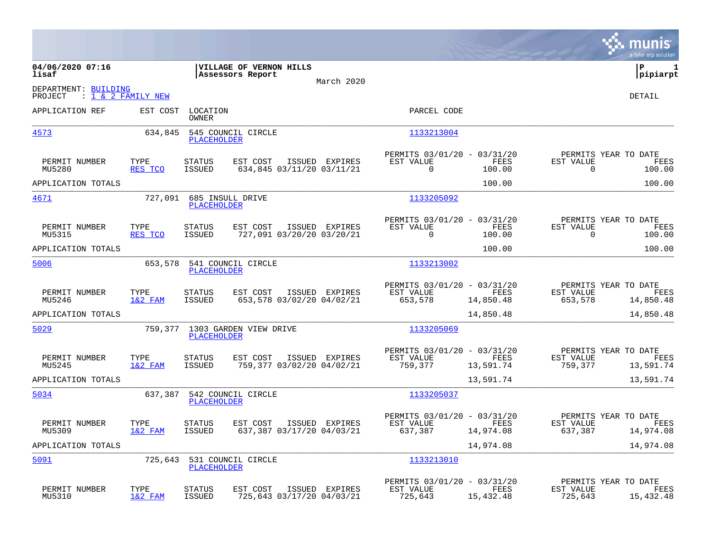|                                                                  |                   |                                |                                             |                |                                                            |                   |                                                  | munis<br>a tyler erp solution |
|------------------------------------------------------------------|-------------------|--------------------------------|---------------------------------------------|----------------|------------------------------------------------------------|-------------------|--------------------------------------------------|-------------------------------|
| 04/06/2020 07:16<br>lisaf                                        |                   |                                | VILLAGE OF VERNON HILLS<br>Assessors Report | March 2020     |                                                            |                   |                                                  | lР<br>1<br> pipiarpt          |
| DEPARTMENT: BUILDING<br>: <u>1 &amp; 2 FAMILY NEW</u><br>PROJECT |                   |                                |                                             |                |                                                            |                   |                                                  | DETAIL                        |
| APPLICATION REF                                                  | EST COST          | LOCATION<br><b>OWNER</b>       |                                             |                | PARCEL CODE                                                |                   |                                                  |                               |
| 4573                                                             | 634,845           | <b>PLACEHOLDER</b>             | 545 COUNCIL CIRCLE                          |                | 1133213004                                                 |                   |                                                  |                               |
| PERMIT NUMBER<br>MU5280                                          | TYPE<br>RES TCO   | <b>STATUS</b><br>ISSUED        | EST COST<br>634,845 03/11/20 03/11/21       | ISSUED EXPIRES | PERMITS 03/01/20 - 03/31/20<br>EST VALUE<br>0              | FEES<br>100.00    | PERMITS YEAR TO DATE<br>EST VALUE<br>$\mathbf 0$ | FEES<br>100.00                |
| APPLICATION TOTALS                                               |                   |                                |                                             |                |                                                            | 100.00            |                                                  | 100.00                        |
| 4671                                                             | 727,091           | <b>PLACEHOLDER</b>             | 685 INSULL DRIVE                            |                | 1133205092                                                 |                   |                                                  |                               |
| PERMIT NUMBER<br>MU5315                                          | TYPE<br>RES TCO   | <b>STATUS</b><br>ISSUED        | EST COST<br>727,091 03/20/20 03/20/21       | ISSUED EXPIRES | PERMITS 03/01/20 - 03/31/20<br>EST VALUE<br>$\overline{0}$ | FEES<br>100.00    | PERMITS YEAR TO DATE<br>EST VALUE<br>$\mathbf 0$ | FEES<br>100.00                |
| APPLICATION TOTALS                                               |                   |                                |                                             |                |                                                            | 100.00            |                                                  | 100.00                        |
| 5006                                                             | 653,578           | <b>PLACEHOLDER</b>             | 541 COUNCIL CIRCLE                          |                | 1133213002                                                 |                   |                                                  |                               |
| PERMIT NUMBER<br>MU5246                                          | TYPE<br>$1&2$ FAM | <b>STATUS</b><br><b>ISSUED</b> | EST COST<br>653,578 03/02/20 04/02/21       | ISSUED EXPIRES | PERMITS 03/01/20 - 03/31/20<br>EST VALUE<br>653,578        | FEES<br>14,850.48 | PERMITS YEAR TO DATE<br>EST VALUE<br>653,578     | FEES<br>14,850.48             |
| APPLICATION TOTALS                                               |                   |                                |                                             |                |                                                            | 14,850.48         |                                                  | 14,850.48                     |
| 5029                                                             | 759,377           | <b>PLACEHOLDER</b>             | 1303 GARDEN VIEW DRIVE                      |                | 1133205069                                                 |                   |                                                  |                               |
| PERMIT NUMBER<br>MU5245                                          | TYPE<br>$1&2$ FAM | <b>STATUS</b><br><b>ISSUED</b> | EST COST<br>759,377 03/02/20 04/02/21       | ISSUED EXPIRES | PERMITS 03/01/20 - 03/31/20<br>EST VALUE<br>759,377        | FEES<br>13,591.74 | PERMITS YEAR TO DATE<br>EST VALUE<br>759,377     | FEES<br>13,591.74             |
| APPLICATION TOTALS                                               |                   |                                |                                             |                |                                                            | 13,591.74         |                                                  | 13,591.74                     |
| 5034                                                             |                   | PLACEHOLDER                    | 637,387 542 COUNCIL CIRCLE                  |                | 1133205037                                                 |                   |                                                  |                               |
| PERMIT NUMBER<br>MU5309                                          | TYPE<br>$1&2$ FAM | <b>STATUS</b><br>ISSUED        | EST COST<br>637,387 03/17/20 04/03/21       | ISSUED EXPIRES | PERMITS 03/01/20 - 03/31/20<br>EST VALUE<br>637,387        | FEES<br>14,974.08 | PERMITS YEAR TO DATE<br>EST VALUE<br>637,387     | FEES<br>14,974.08             |
| APPLICATION TOTALS                                               |                   |                                |                                             |                |                                                            | 14,974.08         |                                                  | 14,974.08                     |
| 5091                                                             | 725,643           | <b>PLACEHOLDER</b>             | 531 COUNCIL CIRCLE                          |                | 1133213010                                                 |                   |                                                  |                               |
| PERMIT NUMBER<br>MU5310                                          | TYPE<br>1&2 FAM   | <b>STATUS</b><br><b>ISSUED</b> | EST COST<br>725,643 03/17/20 04/03/21       | ISSUED EXPIRES | PERMITS 03/01/20 - 03/31/20<br>EST VALUE<br>725,643        | FEES<br>15,432.48 | PERMITS YEAR TO DATE<br>EST VALUE<br>725,643     | FEES<br>15,432.48             |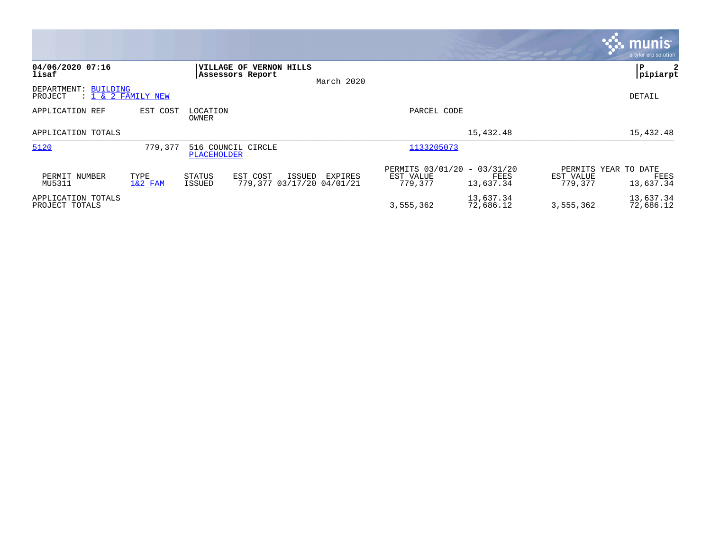|                                      |                    |                   |                                                        |            |                                                     |                        |                                              | <b>munis</b><br>a tyler erp solution |
|--------------------------------------|--------------------|-------------------|--------------------------------------------------------|------------|-----------------------------------------------------|------------------------|----------------------------------------------|--------------------------------------|
| 04/06/2020 07:16<br>lisaf            |                    | <b>VILLAGE OF</b> | <b>VERNON HILLS</b><br>Assessors Report                | March 2020 |                                                     |                        |                                              | l P<br>2<br> pipiarpt                |
| DEPARTMENT: BUILDING<br>PROJECT      | : 1 & 2 FAMILY NEW |                   |                                                        |            |                                                     |                        |                                              | DETAIL                               |
| APPLICATION REF                      | EST COST           | LOCATION<br>OWNER |                                                        |            | PARCEL CODE                                         |                        |                                              |                                      |
| APPLICATION TOTALS                   |                    |                   |                                                        |            |                                                     | 15,432.48              |                                              | 15,432.48                            |
| 5120                                 | 779,377            | PLACEHOLDER       | 516 COUNCIL CIRCLE                                     |            | 1133205073                                          |                        |                                              |                                      |
| PERMIT NUMBER<br>MU5311              | TYPE<br>$1&2$ FAM  | STATUS<br>ISSUED  | EST COST<br><b>ISSUED</b><br>779,377 03/17/20 04/01/21 | EXPIRES    | PERMITS 03/01/20 - 03/31/20<br>EST VALUE<br>779.377 | FEES<br>13,637.34      | PERMITS YEAR TO DATE<br>EST VALUE<br>779,377 | FEES<br>13,637.34                    |
| APPLICATION TOTALS<br>PROJECT TOTALS |                    |                   |                                                        |            | 3,555,362                                           | 13,637.34<br>72,686.12 | 3,555,362                                    | 13,637.34<br>72,686.12               |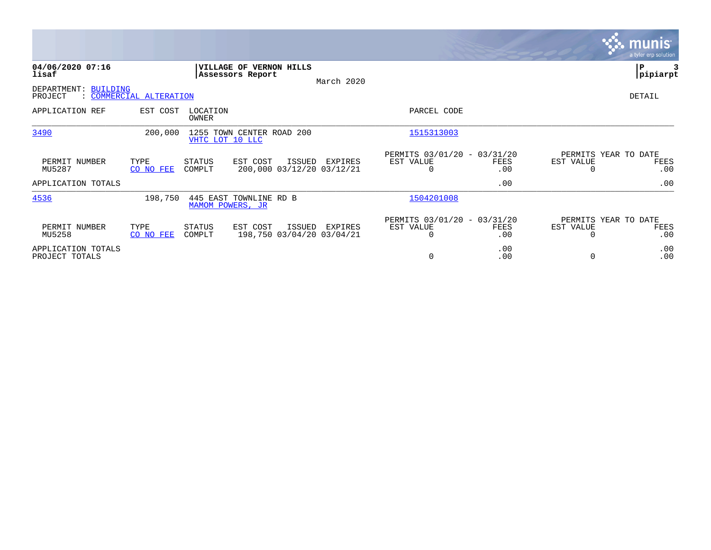|                                      |                         |                   |                                              |        |                                      |                                                          |             |                       | <b>munis</b><br>a tyler erp solution |
|--------------------------------------|-------------------------|-------------------|----------------------------------------------|--------|--------------------------------------|----------------------------------------------------------|-------------|-----------------------|--------------------------------------|
| 04/06/2020 07:16<br>lisaf            |                         |                   | VILLAGE OF VERNON HILLS<br>Assessors Report  |        | March 2020                           |                                                          |             |                       | P<br> pipiarpt                       |
| DEPARTMENT:<br>BUILDING<br>PROJECT   | : COMMERCIAL ALTERATION |                   |                                              |        |                                      |                                                          |             |                       | DETAIL                               |
| APPLICATION REF                      | EST COST                | LOCATION<br>OWNER |                                              |        |                                      | PARCEL CODE                                              |             |                       |                                      |
| 3490                                 | 200,000                 |                   | 1255 TOWN CENTER ROAD 200<br>VHTC LOT 10 LLC |        |                                      | 1515313003                                               |             |                       |                                      |
| PERMIT NUMBER<br>MU5287              | TYPE<br>CO NO FEE       | STATUS<br>COMPLT  | EST COST                                     | ISSUED | EXPIRES<br>200,000 03/12/20 03/12/21 | PERMITS 03/01/20 - 03/31/20<br>EST VALUE<br><sup>0</sup> | FEES<br>.00 | EST VALUE             | PERMITS YEAR TO DATE<br>FEES<br>.00  |
| APPLICATION TOTALS                   |                         |                   |                                              |        |                                      |                                                          | .00         |                       | .00                                  |
| 4536                                 | 198,750                 |                   | 445 EAST TOWNLINE RD B<br>MAMOM POWERS, JR   |        |                                      | 1504201008                                               |             |                       |                                      |
| PERMIT NUMBER<br>MU5258              | TYPE<br>CO NO FEE       | STATUS<br>COMPLT  | EST COST                                     | ISSUED | EXPIRES<br>198,750 03/04/20 03/04/21 | PERMITS 03/01/20 - 03/31/20<br>EST VALUE<br>$\Omega$     | FEES<br>.00 | EST VALUE<br>$\Omega$ | PERMITS YEAR TO DATE<br>FEES<br>.00  |
| APPLICATION TOTALS<br>PROJECT TOTALS |                         |                   |                                              |        |                                      | 0                                                        | .00<br>.00  | 0                     | .00<br>.00                           |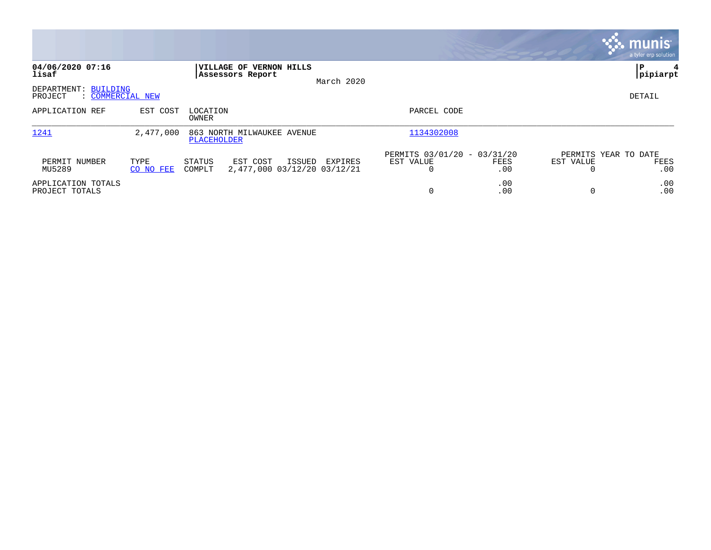|                                                     |                   |                                             |                                                  |                                               |             |                                   | $\sqrt{\mathsf{munis}}$<br>a tyler erp solution |
|-----------------------------------------------------|-------------------|---------------------------------------------|--------------------------------------------------|-----------------------------------------------|-------------|-----------------------------------|-------------------------------------------------|
| 04/06/2020 07:16<br>lisaf                           |                   | VILLAGE OF VERNON HILLS<br>Assessors Report | March 2020                                       |                                               |             |                                   | l P<br> pipiarpt                                |
| DEPARTMENT: BUILDING<br>: COMMERCIAL NEW<br>PROJECT |                   |                                             |                                                  |                                               |             |                                   | DETAIL                                          |
| APPLICATION REF                                     | EST COST          | LOCATION<br>OWNER                           |                                                  | PARCEL CODE                                   |             |                                   |                                                 |
| 1241                                                | 2,477,000         | 863 NORTH MILWAUKEE AVENUE<br>PLACEHOLDER   |                                                  | 1134302008                                    |             |                                   |                                                 |
| PERMIT NUMBER<br>MU5289                             | TYPE<br>CO NO FEE | EST COST<br>STATUS<br>COMPLT                | ISSUED<br>EXPIRES<br>2,477,000 03/12/20 03/12/21 | PERMITS 03/01/20 - 03/31/20<br>EST VALUE<br>0 | FEES<br>.00 | PERMITS YEAR TO DATE<br>EST VALUE | FEES<br>.00                                     |
| APPLICATION TOTALS<br>PROJECT TOTALS                |                   |                                             |                                                  | $\Omega$                                      | .00<br>.00  |                                   | .00<br>.00                                      |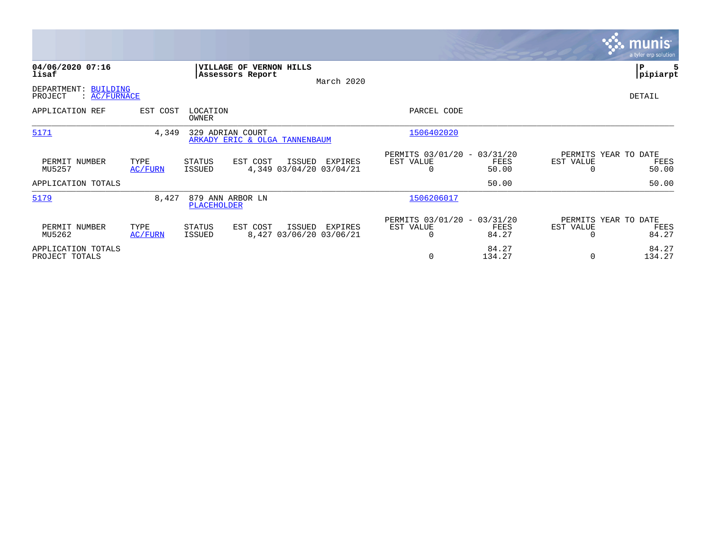|                                                 |                 |                    |                                                   |        |                                    |                                                      |                 |                       | <b>munis</b><br>a tyler erp solution  |
|-------------------------------------------------|-----------------|--------------------|---------------------------------------------------|--------|------------------------------------|------------------------------------------------------|-----------------|-----------------------|---------------------------------------|
| 04/06/2020 07:16<br>lisaf                       |                 |                    | VILLAGE OF VERNON HILLS<br>Assessors Report       |        | March 2020                         |                                                      |                 |                       | P<br> pipiarpt                        |
| DEPARTMENT: BUILDING<br>PROJECT<br>: AC/FURNACE |                 |                    |                                                   |        |                                    |                                                      |                 |                       | DETAIL                                |
| APPLICATION REF                                 | EST COST        | LOCATION<br>OWNER  |                                                   |        |                                    | PARCEL CODE                                          |                 |                       |                                       |
| 5171                                            | 4,349           |                    | 329 ADRIAN COURT<br>ARKADY ERIC & OLGA TANNENBAUM |        |                                    | 1506402020                                           |                 |                       |                                       |
| PERMIT NUMBER<br>MU5257                         | TYPE<br>AC/FURN | STATUS<br>ISSUED   | EST COST                                          | ISSUED | EXPIRES<br>4,349 03/04/20 03/04/21 | PERMITS 03/01/20 - 03/31/20<br>EST VALUE<br>0        | FEES<br>50.00   | EST VALUE             | PERMITS YEAR TO DATE<br>FEES<br>50.00 |
| APPLICATION TOTALS                              |                 |                    |                                                   |        |                                    |                                                      | 50.00           |                       | 50.00                                 |
| 5179                                            | 8,427           | <b>PLACEHOLDER</b> | 879 ANN ARBOR LN                                  |        |                                    | 1506206017                                           |                 |                       |                                       |
| PERMIT NUMBER<br>MU5262                         | TYPE<br>AC/FURN | STATUS<br>ISSUED   | EST COST                                          | ISSUED | EXPIRES<br>8,427 03/06/20 03/06/21 | PERMITS 03/01/20 - 03/31/20<br>EST VALUE<br>$\Omega$ | FEES<br>84.27   | EST VALUE<br>$\Omega$ | PERMITS YEAR TO DATE<br>FEES<br>84.27 |
| APPLICATION TOTALS<br>PROJECT TOTALS            |                 |                    |                                                   |        |                                    | 0                                                    | 84.27<br>134.27 | $\Omega$              | 84.27<br>134.27                       |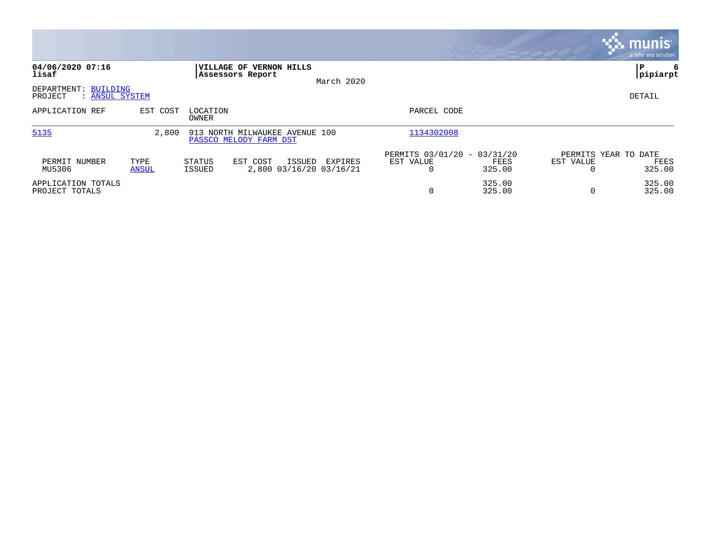|                                                   |               |                                                                   |            |                                               |                  |           | munis <sup>®</sup><br>a tyler erp solution |
|---------------------------------------------------|---------------|-------------------------------------------------------------------|------------|-----------------------------------------------|------------------|-----------|--------------------------------------------|
| 04/06/2020 07:16<br>lisaf                         |               | <b> VILLAGE OF VERNON HILLS</b><br>Assessors Report               | March 2020 |                                               |                  |           | ΙP<br> pipiarpt                            |
| DEPARTMENT: BUILDING<br>: ANSUL SYSTEM<br>PROJECT |               |                                                                   |            |                                               |                  |           | DETAIL                                     |
| APPLICATION REF                                   | EST COST      | LOCATION<br>OWNER                                                 |            | PARCEL CODE                                   |                  |           |                                            |
| 5135                                              | 2,800         | 913 NORTH MILWAUKEE AVENUE 100<br>PASSCO MELODY FARM DST          |            | 1134302008                                    |                  |           |                                            |
| PERMIT NUMBER<br>MU5306                           | TYPE<br>ANSUL | ISSUED<br>STATUS<br>EST COST<br>2,800 03/16/20 03/16/21<br>ISSUED | EXPIRES    | PERMITS 03/01/20 - 03/31/20<br>EST VALUE<br>0 | FEES<br>325.00   | EST VALUE | PERMITS YEAR TO DATE<br>FEES<br>325.00     |
| APPLICATION TOTALS<br>PROJECT TOTALS              |               |                                                                   |            | $\overline{0}$                                | 325.00<br>325.00 |           | 325.00<br>325.00                           |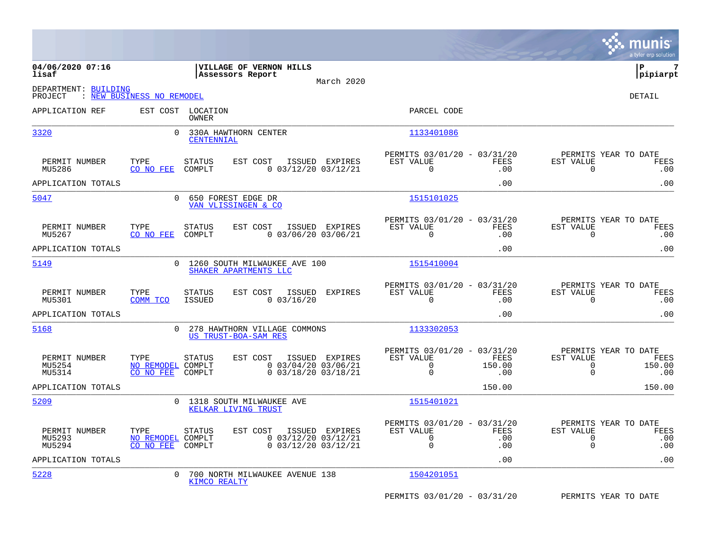|                                   |                                        |                            |                                                         |                                                                  |                                                                        |                           |                                                                 | munis<br>a tyler erp solution |
|-----------------------------------|----------------------------------------|----------------------------|---------------------------------------------------------|------------------------------------------------------------------|------------------------------------------------------------------------|---------------------------|-----------------------------------------------------------------|-------------------------------|
| 04/06/2020 07:16<br>lisaf         |                                        |                            | <b>VILLAGE OF VERNON HILLS</b><br>Assessors Report      | March 2020                                                       |                                                                        |                           |                                                                 | lР<br>7<br> pipiarpt          |
| DEPARTMENT: BUILDING<br>PROJECT   | : NEW BUSINESS NO REMODEL              |                            |                                                         |                                                                  |                                                                        |                           |                                                                 | <b>DETAIL</b>                 |
| APPLICATION REF                   |                                        | EST COST LOCATION<br>OWNER |                                                         |                                                                  | PARCEL CODE                                                            |                           |                                                                 |                               |
| 3320                              | $\overline{0}$                         | <b>CENTENNIAL</b>          | 330A HAWTHORN CENTER                                    |                                                                  | 1133401086                                                             |                           |                                                                 |                               |
| PERMIT NUMBER<br>MU5286           | TYPE<br>CO NO FEE                      | <b>STATUS</b><br>COMPLT    | EST COST ISSUED EXPIRES                                 | $0$ 03/12/20 03/12/21                                            | PERMITS 03/01/20 - 03/31/20<br>EST VALUE<br>$\Omega$                   | FEES<br>.00               | PERMITS YEAR TO DATE<br>EST VALUE<br>$\Omega$                   | FEES<br>.00                   |
| APPLICATION TOTALS                |                                        |                            |                                                         |                                                                  |                                                                        | .00                       |                                                                 | .00                           |
| 5047                              | $\mathsf{O}$                           |                            | 650 FOREST EDGE DR<br>VAN VLISSINGEN & CO               |                                                                  | 1515101025                                                             |                           |                                                                 |                               |
| PERMIT NUMBER<br>MU5267           | TYPE<br>CO NO FEE                      | <b>STATUS</b><br>COMPLT    | EST COST                                                | ISSUED EXPIRES<br>$0$ 03/06/20 03/06/21                          | PERMITS 03/01/20 - 03/31/20<br>EST VALUE<br>$\mathbf 0$                | FEES<br>.00               | PERMITS YEAR TO DATE<br>EST VALUE<br>$\mathbf 0$                | FEES<br>.00                   |
| APPLICATION TOTALS                |                                        |                            |                                                         |                                                                  |                                                                        | .00                       |                                                                 | .00                           |
| 5149                              |                                        |                            | 0 1260 SOUTH MILWAUKEE AVE 100<br>SHAKER APARTMENTS LLC |                                                                  | 1515410004                                                             |                           |                                                                 |                               |
| PERMIT NUMBER<br>MU5301           | TYPE<br>COMM TCO                       | <b>STATUS</b><br>ISSUED    | EST COST<br>$0$ 03/16/20                                | ISSUED EXPIRES                                                   | PERMITS 03/01/20 - 03/31/20<br>EST VALUE<br>$\Omega$                   | FEES<br>.00               | PERMITS YEAR TO DATE<br>EST VALUE<br>$\Omega$                   | FEES<br>.00                   |
| APPLICATION TOTALS                |                                        |                            |                                                         |                                                                  |                                                                        | .00                       |                                                                 | .00                           |
| 5168                              | $\Omega$                               |                            | 278 HAWTHORN VILLAGE COMMONS<br>US TRUST-BOA-SAM RES    |                                                                  | 1133302053                                                             |                           |                                                                 |                               |
| PERMIT NUMBER<br>MU5254<br>MU5314 | TYPE<br>NO REMODEL COMPLT<br>CO NO FEE | STATUS<br>COMPLT           | EST COST                                                | ISSUED EXPIRES<br>$0$ 03/04/20 03/06/21<br>$0$ 03/18/20 03/18/21 | PERMITS 03/01/20 - 03/31/20<br>EST VALUE<br>$\overline{0}$<br>$\Omega$ | FEES<br>150.00<br>.00     | PERMITS YEAR TO DATE<br>EST VALUE<br>0<br>$\Omega$              | FEES<br>150.00<br>.00         |
| APPLICATION TOTALS                |                                        |                            |                                                         |                                                                  |                                                                        | 150.00                    |                                                                 | 150.00                        |
| 5209                              |                                        |                            | 0 1318 SOUTH MILWAUKEE AVE<br>KELKAR LIVING TRUST       |                                                                  | 1515401021                                                             |                           |                                                                 |                               |
| PERMIT NUMBER<br>MU5293<br>MU5294 | TYPE<br>NO REMODEL COMPLT<br>CO NO FEE | <b>STATUS</b><br>COMPLT    | EST COST                                                | ISSUED EXPIRES<br>$0$ 03/12/20 03/12/21<br>$0$ 03/12/20 03/12/21 | PERMITS 03/01/20 - 03/31/20<br>EST VALUE<br>$\Omega$<br>$\mathbf 0$    | <b>FEES</b><br>.00<br>.00 | PERMITS YEAR TO DATE<br>EST VALUE<br>$\mathbf 0$<br>$\mathbf 0$ | FEES<br>.00<br>.00            |
| APPLICATION TOTALS                |                                        |                            |                                                         |                                                                  |                                                                        | .00                       |                                                                 | .00                           |
| 5228                              | $\Omega$                               | KIMCO REALTY               | 700 NORTH MILWAUKEE AVENUE 138                          |                                                                  | 1504201051                                                             |                           |                                                                 |                               |
|                                   |                                        |                            |                                                         |                                                                  | PERMITS 03/01/20 - 03/31/20                                            |                           | PERMITS YEAR TO DATE                                            |                               |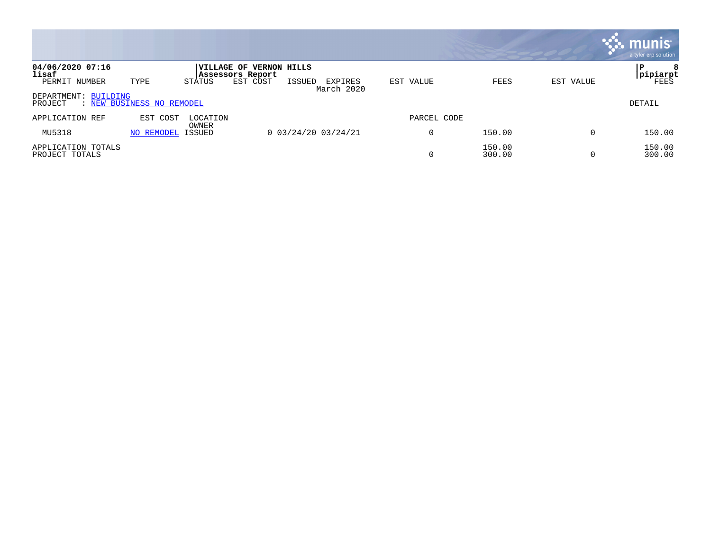|                                      |                           |                   |                                                    |        |                       |             |                  |           | munis <sup>®</sup><br>a tyler erp solution |
|--------------------------------------|---------------------------|-------------------|----------------------------------------------------|--------|-----------------------|-------------|------------------|-----------|--------------------------------------------|
| 04/06/2020 07:16<br>lisaf            |                           |                   | <b>VILLAGE OF VERNON HILLS</b><br>Assessors Report |        |                       |             |                  |           | 8<br>P<br> pipiarpt                        |
| PERMIT NUMBER                        | TYPE                      | STATUS            | EST COST                                           | ISSUED | EXPIRES<br>March 2020 | EST VALUE   | FEES             | EST VALUE | <b>FEES</b>                                |
| DEPARTMENT: BUILDING<br>PROJECT      | : NEW BUSINESS NO REMODEL |                   |                                                    |        |                       |             |                  |           | <b>DETAIL</b>                              |
| APPLICATION REF                      | EST COST                  | LOCATION<br>OWNER |                                                    |        |                       | PARCEL CODE |                  |           |                                            |
| MU5318                               | NO REMODEL                | ISSUED            |                                                    |        | $0$ 03/24/20 03/24/21 | 0           | 150.00           | 0         | 150.00                                     |
| APPLICATION TOTALS<br>PROJECT TOTALS |                           |                   |                                                    |        |                       |             | 150.00<br>300.00 | $\Omega$  | 150.00<br>300.00                           |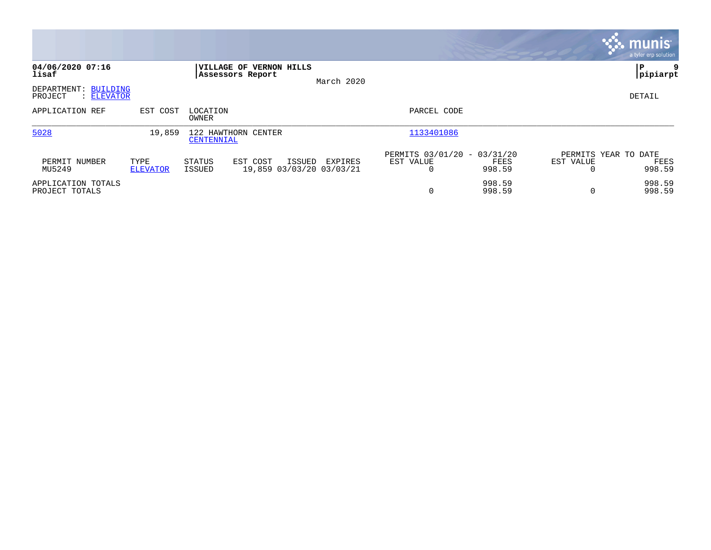|                                                  |                         |                                          |                                                |            |                                               |                  |           | <b>munis</b><br>a tyler erp solution   |
|--------------------------------------------------|-------------------------|------------------------------------------|------------------------------------------------|------------|-----------------------------------------------|------------------|-----------|----------------------------------------|
| 04/06/2020 07:16<br>lisaf                        |                         | Assessors Report                         | <b>VILLAGE OF VERNON HILLS</b>                 | March 2020 |                                               |                  |           | l P<br> pipiarpt                       |
| DEPARTMENT:<br>BUILDING<br>PROJECT<br>: ELEVATOR |                         |                                          |                                                |            |                                               |                  |           | DETAIL                                 |
| APPLICATION REF                                  | EST COST                | LOCATION<br>OWNER                        |                                                |            | PARCEL CODE                                   |                  |           |                                        |
| 5028                                             | 19,859                  | 122 HAWTHORN CENTER<br><b>CENTENNIAL</b> |                                                |            | 1133401086                                    |                  |           |                                        |
| PERMIT NUMBER<br>MU5249                          | TYPE<br><b>ELEVATOR</b> | STATUS<br>ISSUED                         | EST COST<br>ISSUED<br>19,859 03/03/20 03/03/21 | EXPIRES    | PERMITS 03/01/20 - 03/31/20<br>EST VALUE<br>0 | FEES<br>998.59   | EST VALUE | PERMITS YEAR TO DATE<br>FEES<br>998.59 |
| APPLICATION TOTALS<br>PROJECT TOTALS             |                         |                                          |                                                |            | 0                                             | 998.59<br>998.59 | $\Omega$  | 998.59<br>998.59                       |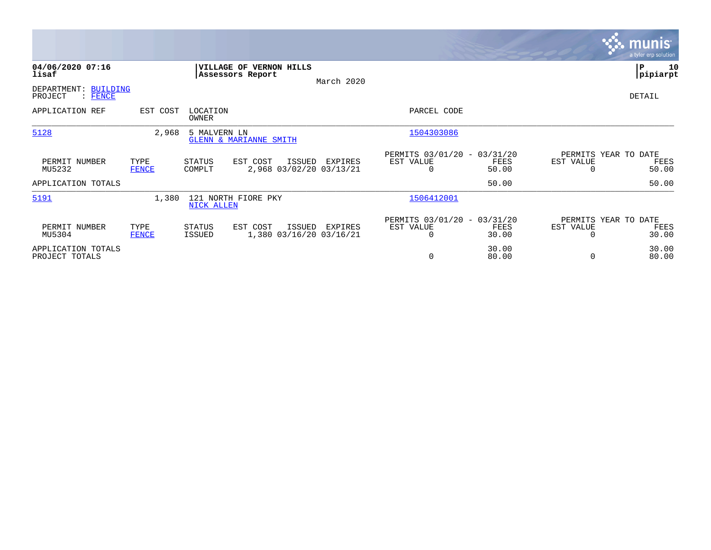|                                                           |                      |                   |                                               |            |                                                      |                |                                        | <b>munis</b><br>a tyler erp solution |
|-----------------------------------------------------------|----------------------|-------------------|-----------------------------------------------|------------|------------------------------------------------------|----------------|----------------------------------------|--------------------------------------|
| 04/06/2020 07:16<br>lisaf                                 |                      |                   | VILLAGE OF VERNON HILLS<br>Assessors Report   | March 2020 |                                                      |                |                                        | P<br>10<br> pipiarpt                 |
| DEPARTMENT:<br><b>BUILDING</b><br>PROJECT<br><b>FENCE</b> |                      |                   |                                               |            |                                                      |                |                                        | DETAIL                               |
| APPLICATION REF                                           | EST COST             | LOCATION<br>OWNER |                                               |            | PARCEL CODE                                          |                |                                        |                                      |
| 5128                                                      | 2,968                | 5 MALVERN LN      | GLENN & MARIANNE SMITH                        |            | 1504303086                                           |                |                                        |                                      |
| PERMIT NUMBER<br>MU5232                                   | TYPE<br><b>FENCE</b> | STATUS<br>COMPLT  | EST COST<br>ISSUED<br>2,968 03/02/20 03/13/21 | EXPIRES    | PERMITS 03/01/20 - 03/31/20<br>EST VALUE<br>O        | FEES<br>50.00  | PERMITS YEAR TO DATE<br>EST VALUE      | FEES<br>50.00                        |
| APPLICATION TOTALS                                        |                      |                   |                                               |            |                                                      | 50.00          |                                        | 50.00                                |
| 5191                                                      | 1,380                | <b>NICK ALLEN</b> | 121 NORTH FIORE PKY                           |            | 1506412001                                           |                |                                        |                                      |
| PERMIT NUMBER<br>MU5304                                   | TYPE<br><b>FENCE</b> | STATUS<br>ISSUED  | EST COST<br>ISSUED<br>1,380 03/16/20 03/16/21 | EXPIRES    | PERMITS 03/01/20 - 03/31/20<br>EST VALUE<br>$\Omega$ | FEES<br>30.00  | PERMITS YEAR TO DATE<br>EST VALUE<br>0 | FEES<br>30.00                        |
| APPLICATION TOTALS<br>PROJECT TOTALS                      |                      |                   |                                               |            | 0                                                    | 30.00<br>80.00 | 0                                      | 30.00<br>80.00                       |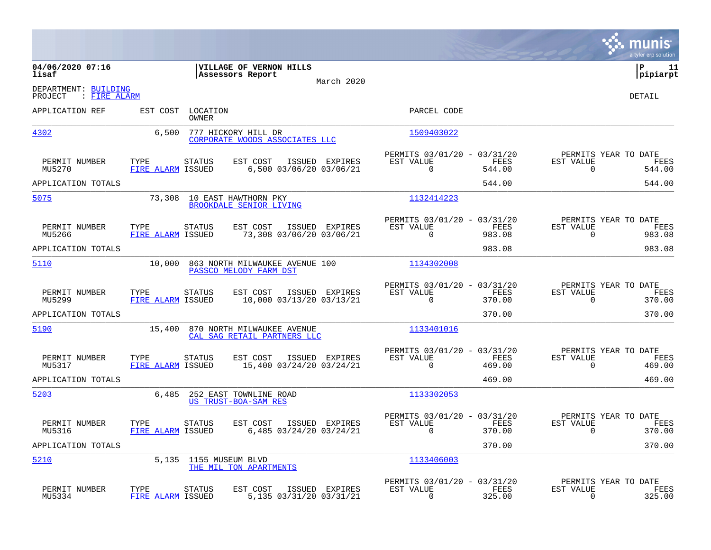|                                                 |                                            |                                                               |                                                                           | munis<br>a tyler erp solution                                      |
|-------------------------------------------------|--------------------------------------------|---------------------------------------------------------------|---------------------------------------------------------------------------|--------------------------------------------------------------------|
| 04/06/2020 07:16<br>lisaf                       |                                            | VILLAGE OF VERNON HILLS<br>Assessors Report<br>March 2020     |                                                                           | ΙP<br>11<br> pipiarpt                                              |
| DEPARTMENT: BUILDING<br>PROJECT<br>: FIRE ALARM |                                            |                                                               |                                                                           | <b>DETAIL</b>                                                      |
| APPLICATION REF                                 | EST COST LOCATION<br>OWNER                 |                                                               | PARCEL CODE                                                               |                                                                    |
| 4302                                            | 6,500                                      | 777 HICKORY HILL DR<br>CORPORATE WOODS ASSOCIATES LLC         | 1509403022                                                                |                                                                    |
| PERMIT NUMBER<br>MU5270                         | TYPE<br>STATUS<br>FIRE ALARM ISSUED        | EST COST<br>ISSUED EXPIRES<br>6,500 03/06/20 03/06/21         | PERMITS 03/01/20 - 03/31/20<br>EST VALUE<br>FEES<br>$\mathbf 0$<br>544.00 | PERMITS YEAR TO DATE<br>EST VALUE<br>FEES<br>544.00<br>0           |
| APPLICATION TOTALS                              |                                            |                                                               | 544.00                                                                    | 544.00                                                             |
| 5075                                            |                                            | 73,308 10 EAST HAWTHORN PKY<br><b>BROOKDALE SENIOR LIVING</b> | 1132414223                                                                |                                                                    |
| PERMIT NUMBER<br>MU5266                         | TYPE<br>STATUS<br>FIRE ALARM ISSUED        | EST COST<br>ISSUED EXPIRES<br>73,308 03/06/20 03/06/21        | PERMITS 03/01/20 - 03/31/20<br>EST VALUE<br>FEES<br>0<br>983.08           | PERMITS YEAR TO DATE<br>FEES<br>EST VALUE<br>0<br>983.08           |
| APPLICATION TOTALS                              |                                            |                                                               | 983.08                                                                    | 983.08                                                             |
| 5110                                            | 10,000                                     | 863 NORTH MILWAUKEE AVENUE 100<br>PASSCO MELODY FARM DST      | 1134302008                                                                |                                                                    |
| PERMIT NUMBER<br>MU5299                         | TYPE<br><b>STATUS</b><br>FIRE ALARM ISSUED | EST COST<br>ISSUED EXPIRES<br>10,000 03/13/20 03/13/21        | PERMITS 03/01/20 - 03/31/20<br>EST VALUE<br>FEES<br>$\Omega$<br>370.00    | PERMITS YEAR TO DATE<br>EST VALUE<br>FEES<br>$\mathbf 0$<br>370.00 |
| APPLICATION TOTALS                              |                                            |                                                               | 370.00                                                                    | 370.00                                                             |
| 5190                                            | 15,400                                     | 870 NORTH MILWAUKEE AVENUE<br>CAL SAG RETAIL PARTNERS LLC     | 1133401016                                                                |                                                                    |
| PERMIT NUMBER<br>MU5317                         | TYPE<br>STATUS<br>FIRE ALARM ISSUED        | EST COST<br>ISSUED EXPIRES<br>15,400 03/24/20 03/24/21        | PERMITS 03/01/20 - 03/31/20<br>EST VALUE<br>FEES<br>$\Omega$<br>469.00    | PERMITS YEAR TO DATE<br>EST VALUE<br>FEES<br>$\mathbf 0$<br>469.00 |
| APPLICATION TOTALS                              |                                            |                                                               | 469.00                                                                    | 469.00                                                             |
| 5203                                            | 6,485                                      | 252 EAST TOWNLINE ROAD<br>US TRUST-BOA-SAM RES                | 1133302053                                                                |                                                                    |
| PERMIT NUMBER<br>MU5316                         | TYPE<br><b>STATUS</b><br>FIRE ALARM ISSUED | EST COST<br>ISSUED EXPIRES<br>6,485 03/24/20 03/24/21         | PERMITS 03/01/20 - 03/31/20<br>EST VALUE<br>FEES<br>$\Omega$<br>370.00    | PERMITS YEAR TO DATE<br>EST VALUE<br>FEES<br>0<br>370.00           |
| APPLICATION TOTALS                              |                                            |                                                               | 370.00                                                                    | 370.00                                                             |
| 5210                                            | 5,135                                      | 1155 MUSEUM BLVD<br>THE MIL TON APARTMENTS                    | 1133406003                                                                |                                                                    |
| PERMIT NUMBER<br>MU5334                         | TYPE<br>STATUS<br>FIRE ALARM ISSUED        | EST COST<br>ISSUED EXPIRES<br>5,135 03/31/20 03/31/21         | PERMITS 03/01/20 - 03/31/20<br>EST VALUE<br>FEES<br>$\Omega$<br>325.00    | PERMITS YEAR TO DATE<br>EST VALUE<br>FEES<br>325.00<br>0           |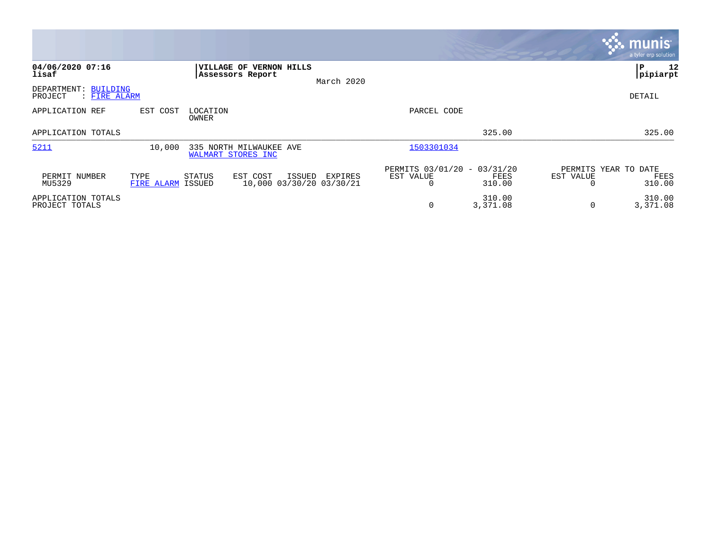|                                                 |                    |                                                      |                                                      |                                               |                    | <b>munis</b><br>a tyler erp solution                |
|-------------------------------------------------|--------------------|------------------------------------------------------|------------------------------------------------------|-----------------------------------------------|--------------------|-----------------------------------------------------|
| 04/06/2020 07:16<br>lisaf                       |                    | VILLAGE OF VERNON HILLS<br>Assessors Report          | March 2020                                           |                                               |                    | P<br>12<br> pipiarpt                                |
| DEPARTMENT: BUILDING<br>PROJECT<br>: FIRE ALARM |                    |                                                      |                                                      |                                               |                    | DETAIL                                              |
| APPLICATION REF                                 | EST COST           | LOCATION<br>OWNER                                    |                                                      | PARCEL CODE                                   |                    |                                                     |
| APPLICATION TOTALS                              |                    |                                                      |                                                      |                                               | 325.00             | 325.00                                              |
| 5211                                            | 10,000             | 335 NORTH MILWAUKEE AVE<br><b>WALMART STORES INC</b> |                                                      | 1503301034                                    |                    |                                                     |
| PERMIT NUMBER<br>MU5329                         | TYPE<br>FIRE ALARM | STATUS<br>EST COST<br>ISSUED                         | ISSUED<br><b>EXPIRES</b><br>10,000 03/30/20 03/30/21 | PERMITS 03/01/20 - 03/31/20<br>EST VALUE<br>0 | FEES<br>310.00     | PERMITS YEAR TO DATE<br>EST VALUE<br>FEES<br>310.00 |
| APPLICATION TOTALS<br>PROJECT TOTALS            |                    |                                                      |                                                      | $\mathbf 0$                                   | 310.00<br>3,371.08 | 310.00<br>3,371.08<br>$\mathbf 0$                   |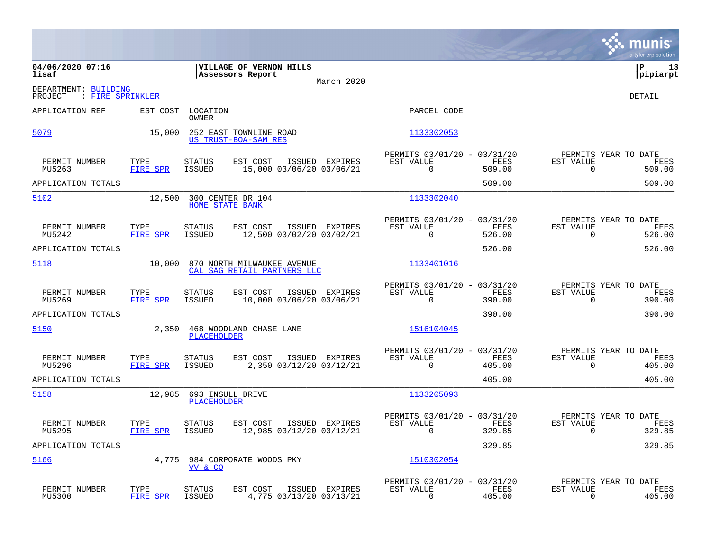|                                                     |                         |                                |                                                           |                |                                                         |                |                                                  | munis<br>a tyler erp solution |
|-----------------------------------------------------|-------------------------|--------------------------------|-----------------------------------------------------------|----------------|---------------------------------------------------------|----------------|--------------------------------------------------|-------------------------------|
| 04/06/2020 07:16<br>lisaf                           |                         |                                | VILLAGE OF VERNON HILLS<br>Assessors Report               | March 2020     |                                                         |                |                                                  | ΙP<br>13<br> pipiarpt         |
| DEPARTMENT: BUILDING<br>PROJECT<br>: FIRE SPRINKLER |                         |                                |                                                           |                |                                                         |                |                                                  | <b>DETAIL</b>                 |
| APPLICATION REF                                     | EST COST                | LOCATION<br><b>OWNER</b>       |                                                           |                | PARCEL CODE                                             |                |                                                  |                               |
| 5079                                                | 15,000                  |                                | 252 EAST TOWNLINE ROAD<br>US TRUST-BOA-SAM RES            |                | 1133302053                                              |                |                                                  |                               |
| PERMIT NUMBER<br>MU5263                             | TYPE<br>FIRE SPR        | <b>STATUS</b><br><b>ISSUED</b> | EST COST<br>15,000 03/06/20 03/06/21                      | ISSUED EXPIRES | PERMITS 03/01/20 - 03/31/20<br>EST VALUE<br>$\Omega$    | FEES<br>509.00 | PERMITS YEAR TO DATE<br>EST VALUE<br>$\Omega$    | FEES<br>509.00                |
| APPLICATION TOTALS                                  |                         |                                |                                                           |                |                                                         | 509.00         |                                                  | 509.00                        |
| 5102                                                | 12,500                  | <b>HOME STATE BANK</b>         | 300 CENTER DR 104                                         |                | 1133302040                                              |                |                                                  |                               |
| PERMIT NUMBER<br>MU5242                             | TYPE<br>FIRE SPR        | <b>STATUS</b><br><b>ISSUED</b> | EST COST<br>12,500 03/02/20 03/02/21                      | ISSUED EXPIRES | PERMITS 03/01/20 - 03/31/20<br>EST VALUE<br>$\mathbf 0$ | FEES<br>526.00 | PERMITS YEAR TO DATE<br>EST VALUE<br>0           | FEES<br>526.00                |
| APPLICATION TOTALS                                  |                         |                                |                                                           |                |                                                         | 526.00         |                                                  | 526.00                        |
| 5118                                                | 10,000                  |                                | 870 NORTH MILWAUKEE AVENUE<br>CAL SAG RETAIL PARTNERS LLC |                | 1133401016                                              |                |                                                  |                               |
| PERMIT NUMBER<br>MU5269                             | TYPE<br><b>FIRE SPR</b> | <b>STATUS</b><br><b>ISSUED</b> | EST COST<br>10,000 03/06/20 03/06/21                      | ISSUED EXPIRES | PERMITS 03/01/20 - 03/31/20<br>EST VALUE<br>$\Omega$    | FEES<br>390.00 | PERMITS YEAR TO DATE<br>EST VALUE<br>$\Omega$    | FEES<br>390.00                |
| APPLICATION TOTALS                                  |                         |                                |                                                           |                |                                                         | 390.00         |                                                  | 390.00                        |
| 5150                                                | 2,350                   | <b>PLACEHOLDER</b>             | 468 WOODLAND CHASE LANE                                   |                | 1516104045                                              |                |                                                  |                               |
| PERMIT NUMBER<br>MU5296                             | TYPE<br>FIRE SPR        | <b>STATUS</b><br><b>ISSUED</b> | EST COST<br>2,350 03/12/20 03/12/21                       | ISSUED EXPIRES | PERMITS 03/01/20 - 03/31/20<br>EST VALUE<br>$\Omega$    | FEES<br>405.00 | PERMITS YEAR TO DATE<br>EST VALUE<br>$\mathbf 0$ | FEES<br>405.00                |
| APPLICATION TOTALS                                  |                         |                                |                                                           |                |                                                         | 405.00         |                                                  | 405.00                        |
| 5158                                                | 12,985                  | <b>PLACEHOLDER</b>             | 693 INSULL DRIVE                                          |                | 1133205093                                              |                |                                                  |                               |
| PERMIT NUMBER<br>MU5295                             | TYPE<br><b>FIRE SPR</b> | <b>STATUS</b><br>ISSUED        | EST COST<br>12,985 03/12/20 03/12/21                      | ISSUED EXPIRES | PERMITS 03/01/20 - 03/31/20<br>EST VALUE<br>$\Omega$    | FEES<br>329.85 | PERMITS YEAR TO DATE<br>EST VALUE<br>$\Omega$    | FEES<br>329.85                |
| APPLICATION TOTALS                                  |                         |                                |                                                           |                |                                                         | 329.85         |                                                  | 329.85                        |
| 5166                                                | 4,775                   | VV & CO                        | 984 CORPORATE WOODS PKY                                   |                | 1510302054                                              |                |                                                  |                               |
| PERMIT NUMBER<br>MU5300                             | TYPE<br>FIRE SPR        | <b>STATUS</b><br><b>ISSUED</b> | EST COST<br>4,775 03/13/20 03/13/21                       | ISSUED EXPIRES | PERMITS 03/01/20 - 03/31/20<br>EST VALUE<br>$\Omega$    | FEES<br>405.00 | PERMITS YEAR TO DATE<br>EST VALUE<br>0           | FEES<br>405.00                |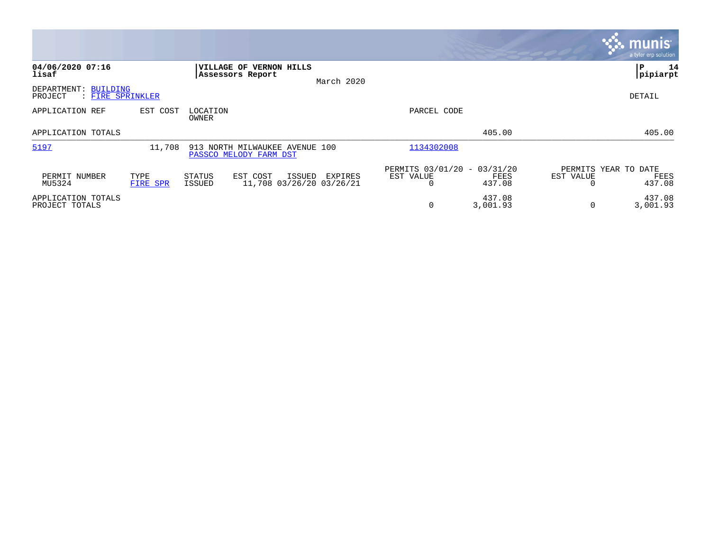|                                                     |                  |                                                                    |            |                                               |                             | <u>munis</u><br>a tyler erp solution   |
|-----------------------------------------------------|------------------|--------------------------------------------------------------------|------------|-----------------------------------------------|-----------------------------|----------------------------------------|
| 04/06/2020 07:16<br>lisaf                           |                  | <b>VILLAGE OF</b><br><b>VERNON HILLS</b><br>Assessors Report       | March 2020 |                                               |                             | P<br>14<br> pipiarpt                   |
| DEPARTMENT: BUILDING<br>: FIRE SPRINKLER<br>PROJECT |                  |                                                                    |            |                                               |                             | DETAIL                                 |
| APPLICATION REF                                     | EST COST         | LOCATION<br>OWNER                                                  |            | PARCEL CODE                                   |                             |                                        |
| APPLICATION TOTALS                                  |                  |                                                                    |            |                                               | 405.00                      | 405.00                                 |
| 5197                                                | 11,708           | 913 NORTH MILWAUKEE AVENUE 100<br>PASSCO MELODY FARM DST           |            | 1134302008                                    |                             |                                        |
| PERMIT NUMBER<br>MU5324                             | TYPE<br>FIRE SPR | STATUS<br>EST COST<br>ISSUED<br>11,708 03/26/20 03/26/21<br>ISSUED | EXPIRES    | PERMITS 03/01/20 - 03/31/20<br>EST VALUE<br>0 | EST VALUE<br>FEES<br>437.08 | PERMITS YEAR TO DATE<br>FEES<br>437.08 |
| APPLICATION TOTALS<br>PROJECT TOTALS                |                  |                                                                    |            | $\mathbf 0$                                   | 437.08<br>3,001.93          | 437.08<br>3,001.93<br>$\Omega$         |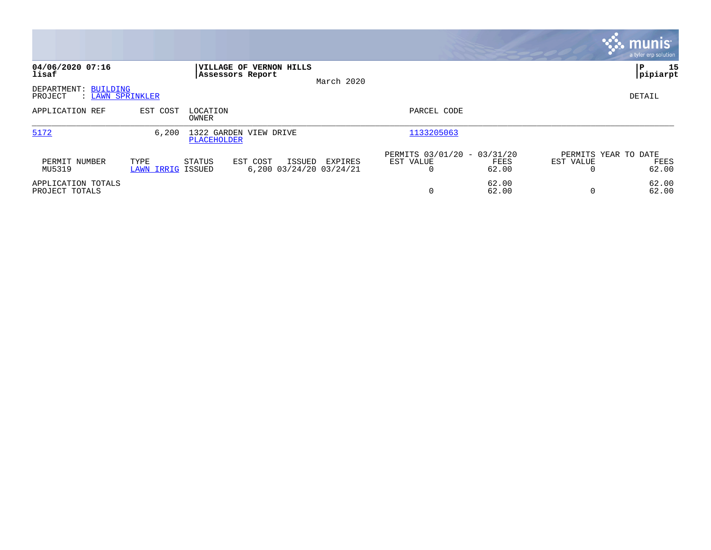|                                      |                           |                                                                |            |                                                                |           | munis <sup>1</sup><br>a tyler erp solution |
|--------------------------------------|---------------------------|----------------------------------------------------------------|------------|----------------------------------------------------------------|-----------|--------------------------------------------|
| 04/06/2020 07:16<br>lisaf            |                           | VILLAGE OF VERNON HILLS<br>Assessors Report                    | March 2020 |                                                                |           | 15<br>l P<br>pipiarpt                      |
| DEPARTMENT:<br>BUILDING<br>PROJECT   | : LAWN SPRINKLER          |                                                                |            |                                                                |           | DETAIL                                     |
| APPLICATION REF                      | EST COST                  | LOCATION<br>OWNER                                              |            | PARCEL CODE                                                    |           |                                            |
| 5172                                 | 6,200                     | 1322 GARDEN VIEW DRIVE<br>PLACEHOLDER                          |            | 1133205063                                                     |           |                                            |
| PERMIT NUMBER<br>MU5319              | TYPE<br>LAWN IRRIG ISSUED | STATUS<br>EST COST<br><b>ISSUED</b><br>6,200 03/24/20 03/24/21 | EXPIRES    | PERMITS 03/01/20 - 03/31/20<br>EST VALUE<br>FEES<br>62.00<br>0 | EST VALUE | PERMITS YEAR TO DATE<br>FEES<br>62.00      |
| APPLICATION TOTALS<br>PROJECT TOTALS |                           |                                                                |            | 62.00<br>0<br>62.00                                            |           | 62.00<br>62.00                             |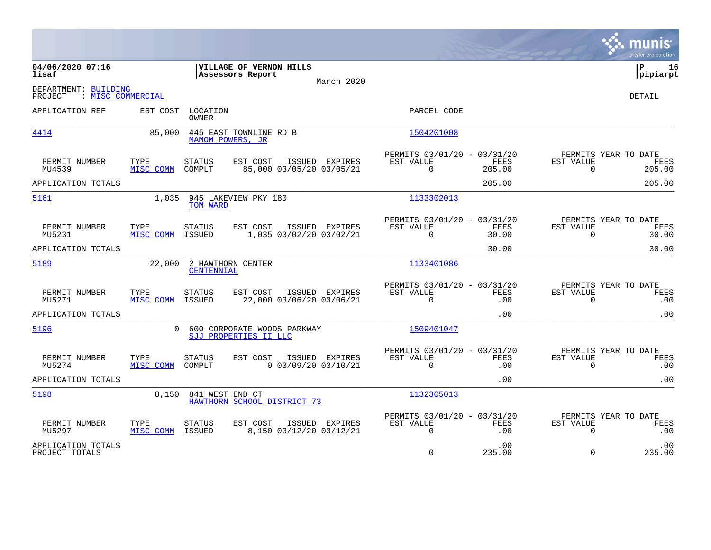|                                                      |                   |                                 |                                                      |                |                                                             |                |                          | munis<br>a tyler erp solution          |
|------------------------------------------------------|-------------------|---------------------------------|------------------------------------------------------|----------------|-------------------------------------------------------------|----------------|--------------------------|----------------------------------------|
| 04/06/2020 07:16<br>lisaf                            |                   |                                 | VILLAGE OF VERNON HILLS<br>Assessors Report          | March 2020     |                                                             |                |                          | l P<br>16<br> pipiarpt                 |
| DEPARTMENT: BUILDING<br>: MISC COMMERCIAL<br>PROJECT |                   |                                 |                                                      |                |                                                             |                |                          | DETAIL                                 |
| APPLICATION REF                                      | EST COST          | LOCATION<br>OWNER               |                                                      |                | PARCEL CODE                                                 |                |                          |                                        |
| 4414                                                 | 85,000            | MAMOM POWERS, JR                | 445 EAST TOWNLINE RD B                               |                | 1504201008                                                  |                |                          |                                        |
| PERMIT NUMBER<br>MU4539                              | TYPE<br>MISC COMM | <b>STATUS</b><br>COMPLT         | EST COST<br>85,000 03/05/20 03/05/21                 | ISSUED EXPIRES | PERMITS 03/01/20 - 03/31/20<br>EST VALUE<br>$\Omega$        | FEES<br>205.00 | EST VALUE<br>$\Omega$    | PERMITS YEAR TO DATE<br>FEES<br>205.00 |
| APPLICATION TOTALS                                   |                   |                                 |                                                      |                |                                                             | 205.00         |                          | 205.00                                 |
| 5161                                                 | 1,035             | TOM WARD                        | 945 LAKEVIEW PKY 180                                 |                | 1133302013                                                  |                |                          |                                        |
| PERMIT NUMBER<br>MU5231                              | TYPE<br>MISC COMM | <b>STATUS</b><br>ISSUED         | EST COST<br>1,035 03/02/20 03/02/21                  | ISSUED EXPIRES | PERMITS 03/01/20 - 03/31/20<br>EST VALUE<br>$\Omega$        | FEES<br>30.00  | EST VALUE<br>$\Omega$    | PERMITS YEAR TO DATE<br>FEES<br>30.00  |
| APPLICATION TOTALS                                   |                   |                                 |                                                      |                |                                                             | 30.00          |                          | 30.00                                  |
| 5189                                                 | 22,000            | 2 HAWTHORN CENTER<br>CENTENNIAL |                                                      |                | 1133401086                                                  |                |                          |                                        |
| PERMIT NUMBER<br>MU5271                              | TYPE<br>MISC COMM | <b>STATUS</b><br>ISSUED         | EST COST<br>22,000 03/06/20 03/06/21                 | ISSUED EXPIRES | PERMITS 03/01/20 - 03/31/20<br>EST VALUE<br>$\Omega$        | FEES<br>.00    | EST VALUE<br>$\Omega$    | PERMITS YEAR TO DATE<br>FEES<br>.00    |
| APPLICATION TOTALS                                   |                   |                                 |                                                      |                |                                                             | .00            |                          | .00                                    |
| 5196                                                 | $\Omega$          |                                 | 600 CORPORATE WOODS PARKWAY<br>SJJ PROPERTIES II LLC |                | 1509401047                                                  |                |                          |                                        |
| PERMIT NUMBER<br>MU5274                              | TYPE<br>MISC COMM | STATUS<br>COMPLT                | EST COST<br>$0$ 03/09/20 03/10/21                    | ISSUED EXPIRES | PERMITS 03/01/20 - 03/31/20<br>EST VALUE<br>$\Omega$        | FEES<br>.00    | EST VALUE<br>$\Omega$    | PERMITS YEAR TO DATE<br>FEES<br>.00    |
| APPLICATION TOTALS                                   |                   |                                 |                                                      |                |                                                             | .00            |                          | .00                                    |
| 5198                                                 |                   | 8,150 841 WEST END CT           | HAWTHORN SCHOOL DISTRICT 73                          |                | 1132305013                                                  |                |                          |                                        |
| PERMIT NUMBER<br>MU5297                              | TYPE<br>MISC COMM | STATUS<br><b>ISSUED</b>         | EST COST<br>8,150 03/12/20 03/12/21                  | ISSUED EXPIRES | PERMITS 03/01/20 - 03/31/20<br><b>EST VALUE</b><br>$\Omega$ | FEES<br>.00    | EST VALUE<br>$\mathbf 0$ | PERMITS YEAR TO DATE<br>FEES<br>.00    |
| APPLICATION TOTALS<br>PROJECT TOTALS                 |                   |                                 |                                                      |                | $\Omega$                                                    | .00<br>235.00  | $\Omega$                 | .00<br>235.00                          |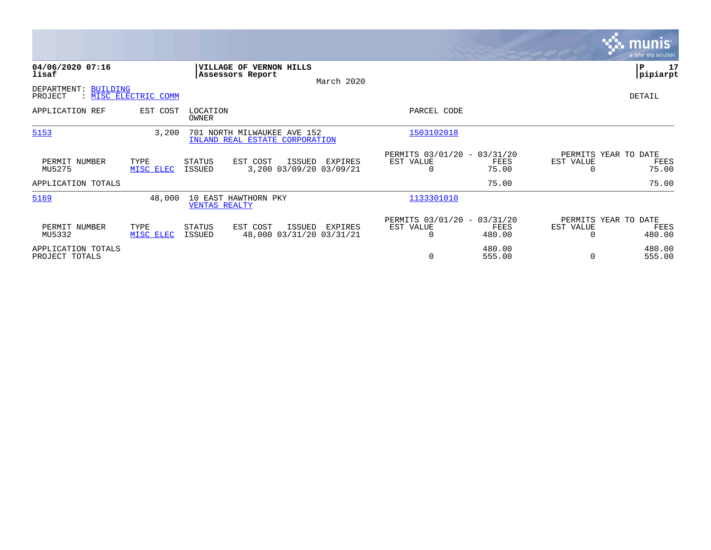|                                      |                      |                          |                                                               |                                               |                                                      |                  |                                               | <b>munis</b><br>a tyler erp solution |
|--------------------------------------|----------------------|--------------------------|---------------------------------------------------------------|-----------------------------------------------|------------------------------------------------------|------------------|-----------------------------------------------|--------------------------------------|
| 04/06/2020 07:16<br>lisaf            |                      |                          | VILLAGE OF VERNON HILLS<br>Assessors Report                   | March 2020                                    |                                                      |                  |                                               | 17<br>P<br> pipiarpt                 |
| DEPARTMENT: BUILDING<br>PROJECT      | : MISC ELECTRIC COMM |                          |                                                               |                                               |                                                      |                  |                                               | DETAIL                               |
| APPLICATION REF                      | EST COST             | LOCATION<br><b>OWNER</b> |                                                               |                                               | PARCEL CODE                                          |                  |                                               |                                      |
| 5153                                 | 3,200                |                          | 701 NORTH MILWAUKEE AVE 152<br>INLAND REAL ESTATE CORPORATION |                                               | 1503102018                                           |                  |                                               |                                      |
| PERMIT NUMBER<br>MU5275              | TYPE<br>MISC ELEC    | STATUS<br>ISSUED         | EST COST                                                      | ISSUED<br>EXPIRES<br>3,200 03/09/20 03/09/21  | PERMITS 03/01/20 - 03/31/20<br>EST VALUE<br>0        | FEES<br>75.00    | PERMITS YEAR TO DATE<br>EST VALUE             | FEES<br>75.00                        |
| APPLICATION TOTALS                   |                      |                          |                                                               |                                               |                                                      | 75.00            |                                               | 75.00                                |
| 5169                                 | 48,000               | <b>VENTAS REALTY</b>     | 10 EAST HAWTHORN PKY                                          |                                               | 1133301010                                           |                  |                                               |                                      |
| PERMIT NUMBER<br>MU5332              | TYPE<br>MISC ELEC    | STATUS<br>ISSUED         | EST COST                                                      | ISSUED<br>EXPIRES<br>48,000 03/31/20 03/31/21 | PERMITS 03/01/20 - 03/31/20<br>EST VALUE<br>$\Omega$ | FEES<br>480.00   | PERMITS YEAR TO DATE<br>EST VALUE<br>$\Omega$ | FEES<br>480.00                       |
| APPLICATION TOTALS<br>PROJECT TOTALS |                      |                          |                                                               |                                               | 0                                                    | 480.00<br>555.00 | $\Omega$                                      | 480.00<br>555.00                     |

**Contract**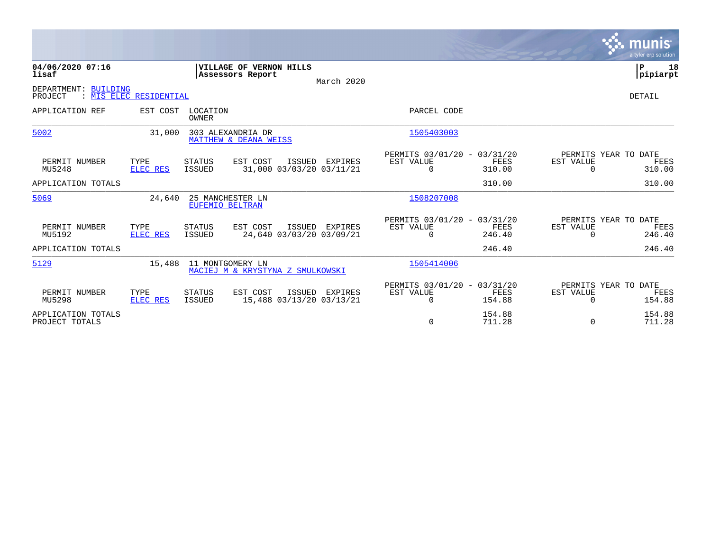|                                      |                        |                                     |                                                     |                |                                                      |                       |                       | munis<br>a tyler erp solution          |
|--------------------------------------|------------------------|-------------------------------------|-----------------------------------------------------|----------------|------------------------------------------------------|-----------------------|-----------------------|----------------------------------------|
| 04/06/2020 07:16<br>lisaf            |                        |                                     | <b> VILLAGE OF VERNON HILLS</b><br>Assessors Report | March 2020     |                                                      |                       |                       | Þ<br>18<br> pipiarpt                   |
| DEPARTMENT: BUILDING<br>PROJECT      | : MIS ELEC RESIDENTIAL |                                     |                                                     |                |                                                      |                       |                       | DETAIL                                 |
| APPLICATION REF                      | EST COST               | LOCATION<br>OWNER                   |                                                     |                | PARCEL CODE                                          |                       |                       |                                        |
| 5002                                 | 31,000                 | 303 ALEXANDRIA DR                   | MATTHEW & DEANA WEISS                               |                | 1505403003                                           |                       |                       |                                        |
| PERMIT NUMBER<br>MU5248              | TYPE<br>ELEC RES       | <b>STATUS</b><br>ISSUED             | EST COST<br>ISSUED<br>31,000 03/03/20 03/11/21      | EXPIRES        | PERMITS 03/01/20 - 03/31/20<br>EST VALUE<br>$\Omega$ | FEES<br>310.00        | EST VALUE<br>$\Omega$ | PERMITS YEAR TO DATE<br>FEES<br>310.00 |
| APPLICATION TOTALS                   |                        |                                     |                                                     |                |                                                      | 310.00                |                       | 310.00                                 |
| 5069                                 | 24,640                 | 25 MANCHESTER LN<br>EUFEMIO BELTRAN |                                                     |                | 1508207008                                           |                       |                       |                                        |
| PERMIT NUMBER<br>MU5192              | TYPE<br>ELEC RES       | STATUS<br>ISSUED                    | EST COST<br>ISSUED<br>24,640 03/03/20 03/09/21      | EXPIRES        | PERMITS 03/01/20 - 03/31/20<br>EST VALUE<br>$\Omega$ | <b>FEES</b><br>246.40 | EST VALUE<br>$\Omega$ | PERMITS YEAR TO DATE<br>FEES<br>246.40 |
| APPLICATION TOTALS                   |                        |                                     |                                                     |                |                                                      | 246.40                |                       | 246.40                                 |
| 5129                                 | 15,488                 | 11 MONTGOMERY LN                    | MACIEJ M & KRYSTYNA Z SMULKOWSKI                    |                | 1505414006                                           |                       |                       |                                        |
| PERMIT NUMBER<br>MU5298              | TYPE<br>ELEC RES       | <b>STATUS</b><br>ISSUED             | EST COST<br>15,488 03/13/20 03/13/21                | ISSUED EXPIRES | PERMITS 03/01/20 - 03/31/20<br>EST VALUE<br>$\Omega$ | <b>FEES</b><br>154.88 | EST VALUE<br>$\Omega$ | PERMITS YEAR TO DATE<br>FEES<br>154.88 |
| APPLICATION TOTALS<br>PROJECT TOTALS |                        |                                     |                                                     |                | 0                                                    | 154.88<br>711.28      | $\Omega$              | 154.88<br>711.28                       |

the property of the control of

and the contract of the contract of the contract of the contract of the contract of the contract of the contract of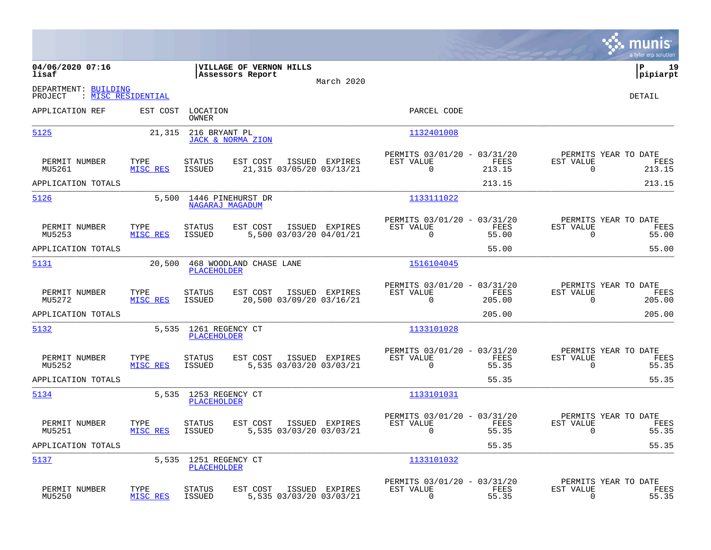|                                                              |                  |                                |                                                    |                                            |                                                          |                       |                             | munis<br>a tyler erp solution                 |
|--------------------------------------------------------------|------------------|--------------------------------|----------------------------------------------------|--------------------------------------------|----------------------------------------------------------|-----------------------|-----------------------------|-----------------------------------------------|
| 04/06/2020 07:16<br>lisaf                                    |                  |                                | <b>VILLAGE OF VERNON HILLS</b><br>Assessors Report |                                            |                                                          |                       |                             | 19<br>P<br> pipiarpt                          |
| DEPARTMENT: BUILDING<br>: <u>MISC RESIDENTIAL</u><br>PROJECT |                  |                                |                                                    | March 2020                                 |                                                          |                       |                             | DETAIL                                        |
| APPLICATION REF                                              | EST COST         | LOCATION<br>OWNER              |                                                    |                                            | PARCEL CODE                                              |                       |                             |                                               |
| 5125                                                         | 21,315           | 216 BRYANT PL                  | JACK & NORMA ZION                                  |                                            | 1132401008                                               |                       |                             |                                               |
| PERMIT NUMBER<br>MU5261                                      | TYPE<br>MISC RES | <b>STATUS</b><br><b>ISSUED</b> | EST COST                                           | ISSUED EXPIRES<br>21,315 03/05/20 03/13/21 | PERMITS 03/01/20 - 03/31/20<br>EST VALUE<br>$\Omega$     | FEES<br>213.15        | EST VALUE<br>$\overline{0}$ | PERMITS YEAR TO DATE<br>FEES<br>213.15        |
| APPLICATION TOTALS                                           |                  |                                |                                                    |                                            |                                                          | 213.15                |                             | 213.15                                        |
| 5126                                                         | 5,500            | NAGARAJ MAGADUM                | 1446 PINEHURST DR                                  |                                            | 1133111022                                               |                       |                             |                                               |
| PERMIT NUMBER<br>MU5253                                      | TYPE<br>MISC RES | <b>STATUS</b><br><b>ISSUED</b> | EST COST                                           | ISSUED EXPIRES<br>5,500 03/03/20 04/01/21  | PERMITS 03/01/20 - 03/31/20<br>EST VALUE<br>$\mathbf 0$  | FEES<br>55.00         | EST VALUE<br>$\overline{0}$ | PERMITS YEAR TO DATE<br>FEES<br>55.00         |
| APPLICATION TOTALS                                           |                  |                                |                                                    |                                            |                                                          | 55.00                 |                             | 55.00                                         |
| 5131                                                         | 20,500           | <b>PLACEHOLDER</b>             | 468 WOODLAND CHASE LANE                            |                                            | 1516104045                                               |                       |                             |                                               |
| PERMIT NUMBER<br>MU5272                                      | TYPE<br>MISC RES | <b>STATUS</b><br><b>ISSUED</b> | EST COST                                           | ISSUED EXPIRES<br>20,500 03/09/20 03/16/21 | PERMITS 03/01/20 - 03/31/20<br>EST VALUE<br>$\Omega$     | <b>FEES</b><br>205.00 | EST VALUE<br>$\Omega$       | PERMITS YEAR TO DATE<br><b>FEES</b><br>205.00 |
| APPLICATION TOTALS                                           |                  |                                |                                                    |                                            |                                                          | 205.00                |                             | 205.00                                        |
| 5132                                                         | 5,535            | 1261 REGENCY CT<br>PLACEHOLDER |                                                    |                                            | 1133101028                                               |                       |                             |                                               |
| PERMIT NUMBER<br>MU5252                                      | TYPE<br>MISC RES | <b>STATUS</b><br><b>ISSUED</b> | EST COST                                           | ISSUED EXPIRES<br>5,535 03/03/20 03/03/21  | PERMITS 03/01/20 - 03/31/20<br>EST VALUE<br>$\Omega$     | FEES<br>55.35         | EST VALUE<br>$\Omega$       | PERMITS YEAR TO DATE<br>FEES<br>55.35         |
| APPLICATION TOTALS                                           |                  |                                |                                                    |                                            |                                                          | 55.35                 |                             | 55.35                                         |
| 5134                                                         | 5,535            | 1253 REGENCY CT<br>PLACEHOLDER |                                                    |                                            | 1133101031                                               |                       |                             |                                               |
| PERMIT NUMBER<br>MU5251                                      | TYPE<br>MISC RES | <b>STATUS</b><br><b>ISSUED</b> | EST COST                                           | ISSUED EXPIRES<br>5,535 03/03/20 03/03/21  | PERMITS 03/01/20 - 03/31/20<br>EST VALUE<br>$\mathbf{0}$ | FEES<br>55.35         | EST VALUE<br>$\mathbf 0$    | PERMITS YEAR TO DATE<br>FEES<br>55.35         |
| APPLICATION TOTALS                                           |                  |                                |                                                    |                                            |                                                          | 55.35                 |                             | 55.35                                         |
| 5137                                                         | 5,535            | 1251 REGENCY CT<br>PLACEHOLDER |                                                    |                                            | 1133101032                                               |                       |                             |                                               |
| PERMIT NUMBER<br>MU5250                                      | TYPE<br>MISC RES | <b>STATUS</b><br><b>ISSUED</b> | EST COST                                           | ISSUED EXPIRES<br>5,535 03/03/20 03/03/21  | PERMITS 03/01/20 - 03/31/20<br>EST VALUE<br>0            | FEES<br>55.35         | EST VALUE<br>0              | PERMITS YEAR TO DATE<br>FEES<br>55.35         |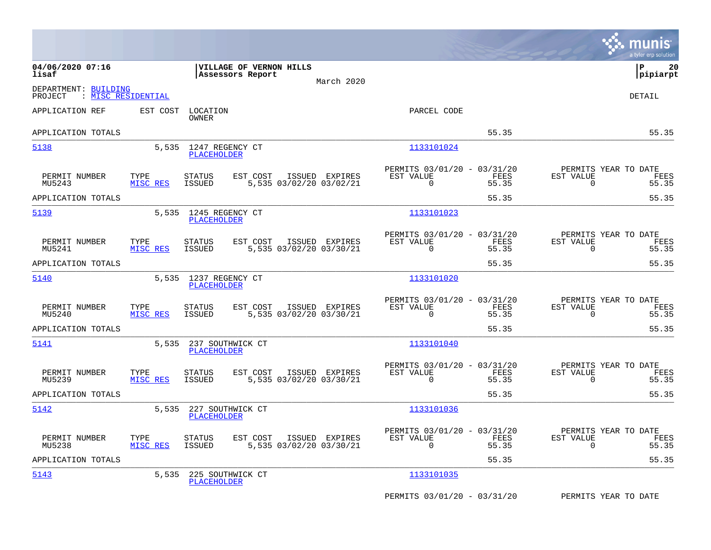|                                 |                    |                                             |                         |                |                                                         |               |                                                  | munis<br>a tyler erp solution |
|---------------------------------|--------------------|---------------------------------------------|-------------------------|----------------|---------------------------------------------------------|---------------|--------------------------------------------------|-------------------------------|
| 04/06/2020 07:16<br>lisaf       |                    | VILLAGE OF VERNON HILLS<br>Assessors Report |                         | March 2020     |                                                         |               |                                                  | ΙP<br>20<br> pipiarpt         |
| DEPARTMENT: BUILDING<br>PROJECT | : MISC RESIDENTIAL |                                             |                         |                |                                                         |               |                                                  | <b>DETAIL</b>                 |
| APPLICATION REF                 | EST COST           | LOCATION<br>OWNER                           |                         |                | PARCEL CODE                                             |               |                                                  |                               |
| APPLICATION TOTALS              |                    |                                             |                         |                |                                                         | 55.35         |                                                  | 55.35                         |
| 5138                            | 5,535              | 1247 REGENCY CT<br><b>PLACEHOLDER</b>       |                         |                | 1133101024                                              |               |                                                  |                               |
| PERMIT NUMBER<br>MU5243         | TYPE<br>MISC RES   | <b>STATUS</b><br>EST COST<br><b>ISSUED</b>  | 5,535 03/02/20 03/02/21 | ISSUED EXPIRES | PERMITS 03/01/20 - 03/31/20<br>EST VALUE<br>0           | FEES<br>55.35 | PERMITS YEAR TO DATE<br>EST VALUE<br>0           | FEES<br>55.35                 |
| APPLICATION TOTALS              |                    |                                             |                         |                |                                                         | 55.35         |                                                  | 55.35                         |
| 5139                            | 5,535              | 1245 REGENCY CT<br><b>PLACEHOLDER</b>       |                         |                | 1133101023                                              |               |                                                  |                               |
| PERMIT NUMBER<br>MU5241         | TYPE<br>MISC RES   | EST COST<br><b>STATUS</b><br><b>ISSUED</b>  | 5,535 03/02/20 03/30/21 | ISSUED EXPIRES | PERMITS 03/01/20 - 03/31/20<br>EST VALUE<br>$\Omega$    | FEES<br>55.35 | PERMITS YEAR TO DATE<br>EST VALUE<br>$\Omega$    | FEES<br>55.35                 |
| APPLICATION TOTALS              |                    |                                             |                         |                |                                                         | 55.35         |                                                  | 55.35                         |
| 5140                            | 5,535              | 1237 REGENCY CT<br>PLACEHOLDER              |                         |                | 1133101020                                              |               |                                                  |                               |
| PERMIT NUMBER<br>MU5240         | TYPE<br>MISC RES   | EST COST<br><b>STATUS</b><br><b>ISSUED</b>  | 5,535 03/02/20 03/30/21 | ISSUED EXPIRES | PERMITS 03/01/20 - 03/31/20<br>EST VALUE<br>$\mathbf 0$ | FEES<br>55.35 | PERMITS YEAR TO DATE<br>EST VALUE<br>$\mathbf 0$ | FEES<br>55.35                 |
| APPLICATION TOTALS              |                    |                                             |                         |                |                                                         | 55.35         |                                                  | 55.35                         |
| 5141                            | 5,535              | 237 SOUTHWICK CT<br>PLACEHOLDER             |                         |                | 1133101040                                              |               |                                                  |                               |
| PERMIT NUMBER<br>MU5239         | TYPE<br>MISC RES   | <b>STATUS</b><br>EST COST<br><b>ISSUED</b>  | 5,535 03/02/20 03/30/21 | ISSUED EXPIRES | PERMITS 03/01/20 - 03/31/20<br>EST VALUE<br>0           | FEES<br>55.35 | PERMITS YEAR TO DATE<br>EST VALUE<br>0           | FEES<br>55.35                 |
| APPLICATION TOTALS              |                    |                                             |                         |                |                                                         | 55.35         |                                                  | 55.35                         |
| 5142                            | 5,535              | 227 SOUTHWICK CT<br>PLACEHOLDER             |                         |                | 1133101036                                              |               |                                                  |                               |
| PERMIT NUMBER<br>MU5238         | TYPE<br>MISC RES   | EST COST<br><b>STATUS</b><br><b>ISSUED</b>  | 5,535 03/02/20 03/30/21 | ISSUED EXPIRES | PERMITS 03/01/20 - 03/31/20<br>EST VALUE<br>$\mathbf 0$ | FEES<br>55.35 | PERMITS YEAR TO DATE<br>EST VALUE<br>0           | FEES<br>55.35                 |
| APPLICATION TOTALS              |                    |                                             |                         |                |                                                         | 55.35         |                                                  | 55.35                         |
| 5143                            | 5,535              | 225 SOUTHWICK CT<br>PLACEHOLDER             |                         |                | 1133101035                                              |               |                                                  |                               |
|                                 |                    |                                             |                         |                | PERMITS 03/01/20 - 03/31/20                             |               | PERMITS YEAR TO DATE                             |                               |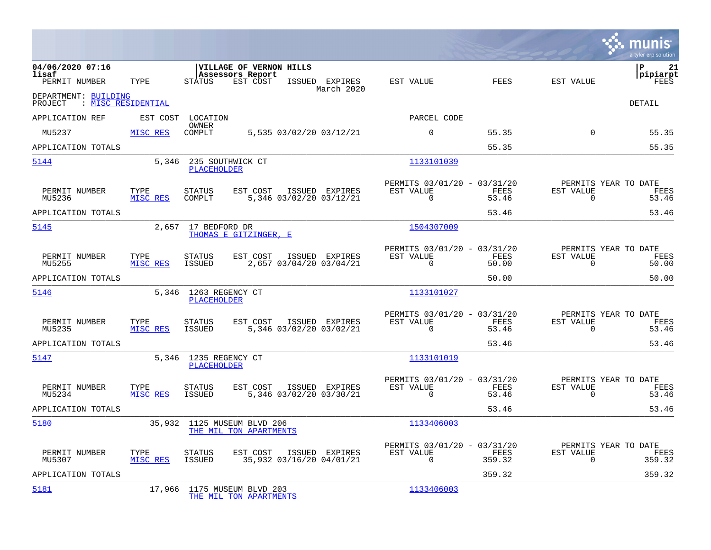|                                                       |                  |                                             |                                                                |                                            |                                                         |                |                          | munis<br>a tyler erp solution          |
|-------------------------------------------------------|------------------|---------------------------------------------|----------------------------------------------------------------|--------------------------------------------|---------------------------------------------------------|----------------|--------------------------|----------------------------------------|
| 04/06/2020 07:16<br>lisaf<br>PERMIT NUMBER            | TYPE             | STATUS                                      | <b>VILLAGE OF VERNON HILLS</b><br>Assessors Report<br>EST COST | ISSUED EXPIRES<br>March 2020               | EST VALUE                                               | <b>FEES</b>    | EST VALUE                | lР<br>21<br> pipiarpt<br>FEES          |
| DEPARTMENT: BUILDING<br>: MISC RESIDENTIAL<br>PROJECT |                  |                                             |                                                                |                                            |                                                         |                |                          | DETAIL                                 |
| APPLICATION REF                                       | EST COST         | LOCATION                                    |                                                                |                                            | PARCEL CODE                                             |                |                          |                                        |
| MU5237                                                | MISC RES         | OWNER<br>COMPLT                             |                                                                | 5,535 03/02/20 03/12/21                    | $\mathbf 0$                                             | 55.35          | $\Omega$                 | 55.35                                  |
| APPLICATION TOTALS                                    |                  |                                             |                                                                |                                            |                                                         | 55.35          |                          | 55.35                                  |
| 5144                                                  | 5,346            | <b>PLACEHOLDER</b>                          | 235 SOUTHWICK CT                                               |                                            | 1133101039                                              |                |                          |                                        |
| PERMIT NUMBER<br>MU5236                               | TYPE<br>MISC RES | <b>STATUS</b><br>COMPLT                     | EST COST                                                       | ISSUED EXPIRES<br>5,346 03/02/20 03/12/21  | PERMITS 03/01/20 - 03/31/20<br>EST VALUE<br>$\mathbf 0$ | FEES<br>53.46  | EST VALUE<br>$\mathbf 0$ | PERMITS YEAR TO DATE<br>FEES<br>53.46  |
| APPLICATION TOTALS                                    |                  |                                             |                                                                |                                            |                                                         | 53.46          |                          | 53.46                                  |
| 5145                                                  | 2,657            | 17 BEDFORD DR                               | THOMAS E GITZINGER. E                                          |                                            | 1504307009                                              |                |                          |                                        |
| PERMIT NUMBER<br>MU5255                               | TYPE<br>MISC RES | <b>STATUS</b><br>ISSUED                     | EST COST                                                       | ISSUED EXPIRES<br>2,657 03/04/20 03/04/21  | PERMITS 03/01/20 - 03/31/20<br>EST VALUE<br>$\Omega$    | FEES<br>50.00  | EST VALUE<br>$\Omega$    | PERMITS YEAR TO DATE<br>FEES<br>50.00  |
| APPLICATION TOTALS                                    |                  |                                             |                                                                |                                            |                                                         | 50.00          |                          | 50.00                                  |
| 5146                                                  |                  | 5,346 1263 REGENCY CT<br><b>PLACEHOLDER</b> |                                                                |                                            | 1133101027                                              |                |                          |                                        |
| PERMIT NUMBER<br>MU5235                               | TYPE<br>MISC RES | <b>STATUS</b><br><b>ISSUED</b>              | EST COST                                                       | ISSUED EXPIRES<br>5,346 03/02/20 03/02/21  | PERMITS 03/01/20 - 03/31/20<br>EST VALUE<br>$\Omega$    | FEES<br>53.46  | EST VALUE<br>$\Omega$    | PERMITS YEAR TO DATE<br>FEES<br>53.46  |
| APPLICATION TOTALS                                    |                  |                                             |                                                                |                                            |                                                         | 53.46          |                          | 53.46                                  |
| 5147                                                  |                  | 5,346 1235 REGENCY CT<br><b>PLACEHOLDER</b> |                                                                |                                            | 1133101019                                              |                |                          |                                        |
| PERMIT NUMBER<br>MU5234                               | TYPE<br>MISC RES | <b>STATUS</b><br>ISSUED                     | EST COST                                                       | ISSUED EXPIRES<br>5,346 03/02/20 03/30/21  | PERMITS 03/01/20 - 03/31/20<br>EST VALUE<br>$\mathbf 0$ | FEES<br>53.46  | EST VALUE<br>0           | PERMITS YEAR TO DATE<br>FEES<br>53.46  |
| APPLICATION TOTALS                                    |                  |                                             |                                                                |                                            |                                                         | 53.46          |                          | 53.46                                  |
| 5180                                                  |                  |                                             | 35,932 1125 MUSEUM BLVD 206<br>THE MIL TON APARTMENTS          |                                            | 1133406003                                              |                |                          |                                        |
| PERMIT NUMBER<br>MU5307                               | TYPE<br>MISC RES | <b>STATUS</b><br><b>ISSUED</b>              | EST COST                                                       | ISSUED EXPIRES<br>35,932 03/16/20 04/01/21 | PERMITS 03/01/20 - 03/31/20<br>EST VALUE<br>$\Omega$    | FEES<br>359.32 | EST VALUE<br>$\Omega$    | PERMITS YEAR TO DATE<br>FEES<br>359.32 |
| APPLICATION TOTALS                                    |                  |                                             |                                                                |                                            |                                                         | 359.32         |                          | 359.32                                 |
| 5181                                                  | 17,966           |                                             | 1175 MUSEUM BLVD 203<br>THE MIL TON APARTMENTS                 |                                            | 1133406003                                              |                |                          |                                        |

**Contract**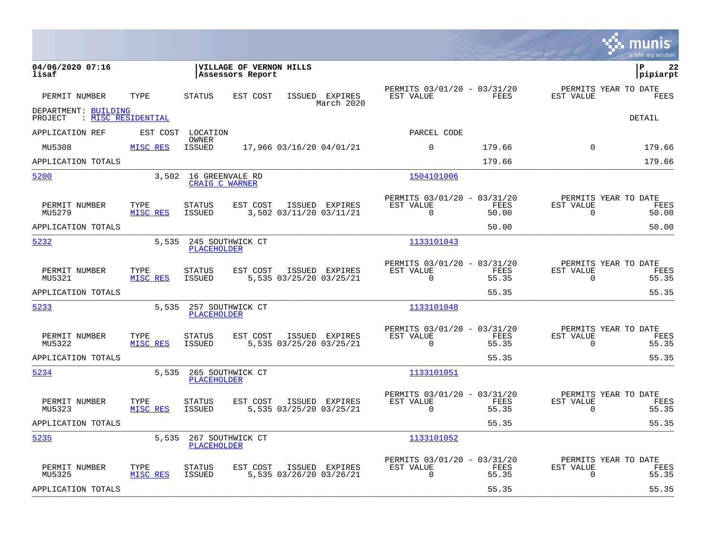|                                                       |                  |                                   |                                             |                                           |                                                         |               |                          | munis<br>a tyler erp solution         |
|-------------------------------------------------------|------------------|-----------------------------------|---------------------------------------------|-------------------------------------------|---------------------------------------------------------|---------------|--------------------------|---------------------------------------|
| 04/06/2020 07:16<br>lisaf                             |                  |                                   | VILLAGE OF VERNON HILLS<br>Assessors Report |                                           |                                                         |               |                          | Þ<br>22<br>pipiarpt                   |
| PERMIT NUMBER                                         | TYPE             | <b>STATUS</b>                     | EST COST                                    | ISSUED EXPIRES<br>March 2020              | PERMITS 03/01/20 - 03/31/20<br>EST VALUE                | <b>FEES</b>   | EST VALUE                | PERMITS YEAR TO DATE<br>FEES          |
| DEPARTMENT: BUILDING<br>: MISC RESIDENTIAL<br>PROJECT |                  |                                   |                                             |                                           |                                                         |               |                          | DETAIL                                |
| APPLICATION REF                                       | EST COST         | LOCATION                          |                                             |                                           | PARCEL CODE                                             |               |                          |                                       |
| MU5308                                                | MISC RES         | OWNER<br><b>ISSUED</b>            |                                             | 17,966 03/16/20 04/01/21                  | 0                                                       | 179.66        | $\Omega$                 | 179.66                                |
| APPLICATION TOTALS                                    |                  |                                   |                                             |                                           |                                                         | 179.66        |                          | 179.66                                |
| 5200                                                  | 3,502            | 16 GREENVALE RD<br>CRAIG C WARNER |                                             |                                           | 1504101006                                              |               |                          |                                       |
| PERMIT NUMBER<br>MU5279                               | TYPE<br>MISC RES | <b>STATUS</b><br><b>ISSUED</b>    | EST COST                                    | ISSUED EXPIRES<br>3,502 03/11/20 03/11/21 | PERMITS 03/01/20 - 03/31/20<br>EST VALUE<br>$\mathbf 0$ | FEES<br>50.00 | EST VALUE<br>$\mathbf 0$ | PERMITS YEAR TO DATE<br>FEES<br>50.00 |
| APPLICATION TOTALS                                    |                  |                                   |                                             |                                           |                                                         | 50.00         |                          | 50.00                                 |
| 5232                                                  | 5,535            | <b>PLACEHOLDER</b>                | 245 SOUTHWICK CT                            |                                           | 1133101043                                              |               |                          |                                       |
| PERMIT NUMBER<br>MU5321                               | TYPE<br>MISC RES | <b>STATUS</b><br><b>ISSUED</b>    | EST COST                                    | ISSUED EXPIRES<br>5,535 03/25/20 03/25/21 | PERMITS 03/01/20 - 03/31/20<br>EST VALUE<br>$\Omega$    | FEES<br>55.35 | EST VALUE<br>$\Omega$    | PERMITS YEAR TO DATE<br>FEES<br>55.35 |
| APPLICATION TOTALS                                    |                  |                                   |                                             |                                           |                                                         | 55.35         |                          | 55.35                                 |
| 5233                                                  | 5,535            | <b>PLACEHOLDER</b>                | 257 SOUTHWICK CT                            |                                           | 1133101048                                              |               |                          |                                       |
| PERMIT NUMBER<br>MU5322                               | TYPE<br>MISC RES | <b>STATUS</b><br><b>ISSUED</b>    | EST COST                                    | ISSUED EXPIRES<br>5,535 03/25/20 03/25/21 | PERMITS 03/01/20 - 03/31/20<br>EST VALUE<br>$\Omega$    | FEES<br>55.35 | EST VALUE<br>$\Omega$    | PERMITS YEAR TO DATE<br>FEES<br>55.35 |
| APPLICATION TOTALS                                    |                  |                                   |                                             |                                           |                                                         | 55.35         |                          | 55.35                                 |
| 5234                                                  | 5,535            | <b>PLACEHOLDER</b>                | 265 SOUTHWICK CT                            |                                           | 1133101051                                              |               |                          |                                       |
| PERMIT NUMBER<br>MU5323                               | TYPE<br>MISC RES | <b>STATUS</b><br><b>ISSUED</b>    | EST COST                                    | ISSUED EXPIRES<br>5,535 03/25/20 03/25/21 | PERMITS 03/01/20 - 03/31/20<br>EST VALUE<br>$\Omega$    | FEES<br>55.35 | EST VALUE<br>$\Omega$    | PERMITS YEAR TO DATE<br>FEES<br>55.35 |
| APPLICATION TOTALS                                    |                  |                                   |                                             |                                           |                                                         | 55.35         |                          | 55.35                                 |
| 5235                                                  | 5,535            | PLACEHOLDER                       | 267 SOUTHWICK CT                            |                                           | 1133101052                                              |               |                          |                                       |
| PERMIT NUMBER<br>MU5325                               | TYPE<br>MISC RES | <b>STATUS</b><br>ISSUED           | EST COST                                    | ISSUED EXPIRES<br>5,535 03/26/20 03/26/21 | PERMITS 03/01/20 - 03/31/20<br>EST VALUE<br>$\Omega$    | FEES<br>55.35 | EST VALUE<br>$\Omega$    | PERMITS YEAR TO DATE<br>FEES<br>55.35 |
| APPLICATION TOTALS                                    |                  |                                   |                                             |                                           |                                                         | 55.35         |                          | 55.35                                 |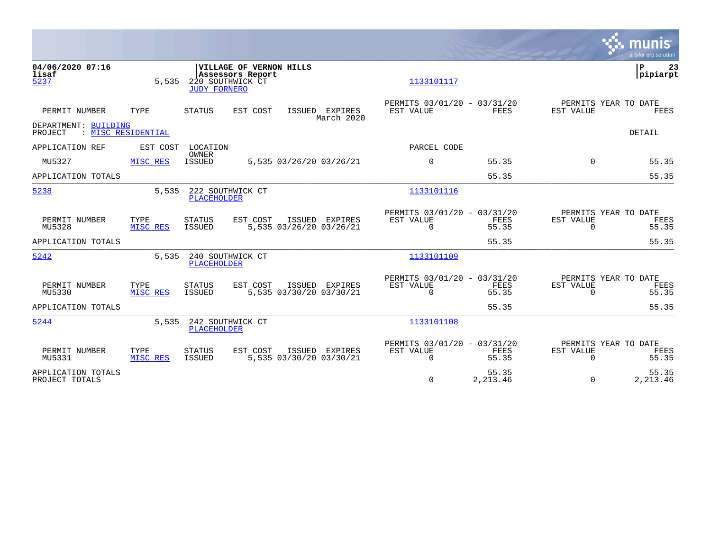|                                      |                    |                                         |                                             |                                           |                                                      |                   |                              | munis<br>a tyler erp solution         |
|--------------------------------------|--------------------|-----------------------------------------|---------------------------------------------|-------------------------------------------|------------------------------------------------------|-------------------|------------------------------|---------------------------------------|
| 04/06/2020 07:16<br>lisaf<br>5237    | 5,535              | 220 SOUTHWICK CT<br><b>JUDY FORNERO</b> | VILLAGE OF VERNON HILLS<br>Assessors Report |                                           | 1133101117                                           |                   |                              | l P<br>23<br> pipiarpt                |
| PERMIT NUMBER                        | TYPE               | STATUS                                  | EST COST                                    | ISSUED EXPIRES<br>March 2020              | PERMITS 03/01/20 - 03/31/20<br>EST VALUE             | <b>FEES</b>       | EST VALUE                    | PERMITS YEAR TO DATE<br>FEES          |
| DEPARTMENT: BUILDING<br>PROJECT      | : MISC RESIDENTIAL |                                         |                                             |                                           |                                                      |                   |                              | <b>DETAIL</b>                         |
| APPLICATION REF                      | EST COST           | LOCATION<br>OWNER                       |                                             |                                           | PARCEL CODE                                          |                   |                              |                                       |
| MU5327                               | MISC RES           | <b>ISSUED</b>                           |                                             | 5,535 03/26/20 03/26/21                   | $\Omega$                                             | 55.35             | $\Omega$                     | 55.35                                 |
| APPLICATION TOTALS                   |                    |                                         |                                             |                                           |                                                      | 55.35             |                              | 55.35                                 |
| 5238                                 | 5,535              | 222 SOUTHWICK CT<br><b>PLACEHOLDER</b>  |                                             |                                           | 1133101116                                           |                   |                              |                                       |
| PERMIT NUMBER<br>MU5328              | TYPE<br>MISC RES   | <b>STATUS</b><br>ISSUED                 | EST COST                                    | ISSUED EXPIRES<br>5,535 03/26/20 03/26/21 | PERMITS 03/01/20 - 03/31/20<br>EST VALUE<br>$\Omega$ | FEES<br>55.35     | <b>EST VALUE</b><br>$\Omega$ | PERMITS YEAR TO DATE<br>FEES<br>55.35 |
| APPLICATION TOTALS                   |                    |                                         |                                             |                                           |                                                      | 55.35             |                              | 55.35                                 |
| 5242                                 | 5,535              | 240 SOUTHWICK CT<br><b>PLACEHOLDER</b>  |                                             |                                           | 1133101109                                           |                   |                              |                                       |
| PERMIT NUMBER<br>MU5330              | TYPE<br>MISC RES   | <b>STATUS</b><br><b>ISSUED</b>          | EST COST                                    | ISSUED EXPIRES<br>5,535 03/30/20 03/30/21 | PERMITS 03/01/20 - 03/31/20<br>EST VALUE<br>$\Omega$ | FEES<br>55.35     | <b>EST VALUE</b><br>$\Omega$ | PERMITS YEAR TO DATE<br>FEES<br>55.35 |
| APPLICATION TOTALS                   |                    |                                         |                                             |                                           |                                                      | 55.35             |                              | 55.35                                 |
| 5244                                 | 5,535              | 242 SOUTHWICK CT<br><b>PLACEHOLDER</b>  |                                             |                                           | 1133101108                                           |                   |                              |                                       |
| PERMIT NUMBER<br>MU5331              | TYPE<br>MISC RES   | <b>STATUS</b><br><b>ISSUED</b>          | EST COST                                    | ISSUED EXPIRES<br>5,535 03/30/20 03/30/21 | PERMITS 03/01/20 - 03/31/20<br>EST VALUE<br>$\Omega$ | FEES<br>55.35     | <b>EST VALUE</b><br>$\Omega$ | PERMITS YEAR TO DATE<br>FEES<br>55.35 |
| APPLICATION TOTALS<br>PROJECT TOTALS |                    |                                         |                                             |                                           | $\mathbf 0$                                          | 55.35<br>2,213.46 | $\Omega$                     | 55.35<br>2,213.46                     |

the property of the control of

and the contract of the contract of the contract of the contract of the contract of the contract of the contract of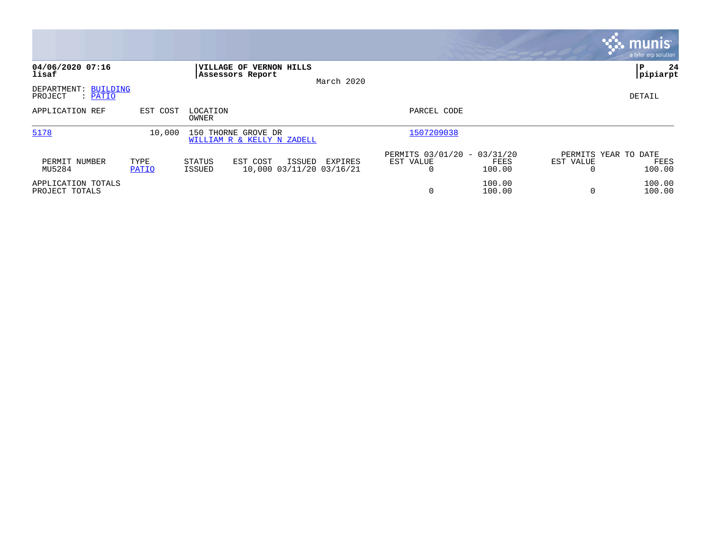|                                               |               |                   |                                                    |            |                                               |                  |                                   | <b>munis</b><br>a tyler erp solution |
|-----------------------------------------------|---------------|-------------------|----------------------------------------------------|------------|-----------------------------------------------|------------------|-----------------------------------|--------------------------------------|
| 04/06/2020 07:16<br>lisaf                     |               |                   | <b>VILLAGE OF VERNON HILLS</b><br>Assessors Report | March 2020 |                                               |                  |                                   | 24<br>l P<br>pipiarpt                |
| DEPARTMENT:<br>BUILDING<br>PROJECT<br>: PATIO |               |                   |                                                    |            |                                               |                  |                                   | DETAIL                               |
| APPLICATION REF                               | EST COST      | LOCATION<br>OWNER |                                                    |            | PARCEL CODE                                   |                  |                                   |                                      |
| 5178                                          | 10,000        |                   | 150 THORNE GROVE DR<br>WILLIAM R & KELLY N ZADELL  |            | 1507209038                                    |                  |                                   |                                      |
| PERMIT NUMBER<br>MU5284                       | TYPE<br>PATIO | STATUS<br>ISSUED  | EST COST<br>ISSUED<br>10,000 03/11/20 03/16/21     | EXPIRES    | PERMITS 03/01/20 - 03/31/20<br>EST VALUE<br>0 | FEES<br>100.00   | PERMITS YEAR TO DATE<br>EST VALUE | FEES<br>100.00                       |
| APPLICATION TOTALS<br>PROJECT TOTALS          |               |                   |                                                    |            | 0                                             | 100.00<br>100.00 | $\Omega$                          | 100.00<br>100.00                     |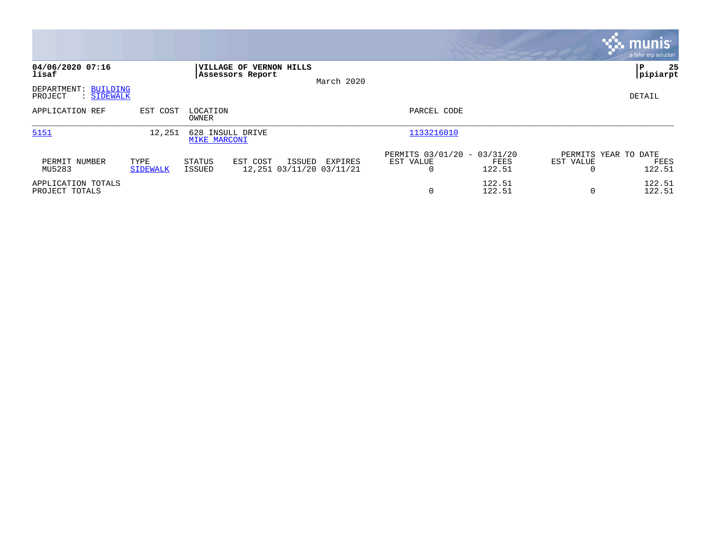|                                               |                         |                                             |                                               |                                                         |                   | <b>munis</b><br>a tyler erp solution   |
|-----------------------------------------------|-------------------------|---------------------------------------------|-----------------------------------------------|---------------------------------------------------------|-------------------|----------------------------------------|
| 04/06/2020 07:16<br>lisaf                     |                         | VILLAGE OF VERNON HILLS<br>Assessors Report | March 2020                                    |                                                         |                   | 25<br>l P<br> pipiarpt                 |
| DEPARTMENT: BUILDING<br>PROJECT<br>: SIDEWALK |                         |                                             |                                               |                                                         |                   | DETAIL                                 |
| APPLICATION REF                               | EST COST                | LOCATION<br>OWNER                           |                                               | PARCEL CODE                                             |                   |                                        |
| 5151                                          | 12,251                  | 628 INSULL DRIVE<br>MIKE MARCONI            |                                               | 1133216010                                              |                   |                                        |
| PERMIT NUMBER<br>MU5283                       | TYPE<br><b>SIDEWALK</b> | STATUS<br>EST COST<br>ISSUED                | ISSUED<br>EXPIRES<br>12,251 03/11/20 03/11/21 | PERMITS 03/01/20 - 03/31/20<br>EST VALUE<br>122.51<br>0 | EST VALUE<br>FEES | PERMITS YEAR TO DATE<br>FEES<br>122.51 |
| APPLICATION TOTALS<br>PROJECT TOTALS          |                         |                                             |                                               | 122.51<br>$\mathbf 0$                                   | 122.51            | 122.51<br>122.51                       |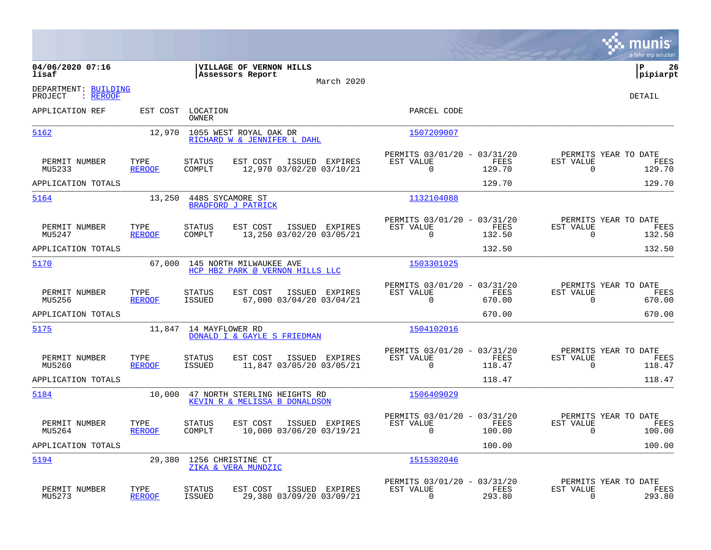|                                             |                       |                            |                                                               |                |                                                      |                |                                                  | munis<br>a tyler erp solution |
|---------------------------------------------|-----------------------|----------------------------|---------------------------------------------------------------|----------------|------------------------------------------------------|----------------|--------------------------------------------------|-------------------------------|
| 04/06/2020 07:16<br>lisaf                   |                       |                            | VILLAGE OF VERNON HILLS<br>Assessors Report                   | March 2020     |                                                      |                |                                                  | ΙP<br>26<br> pipiarpt         |
| DEPARTMENT: BUILDING<br>: REROOF<br>PROJECT |                       |                            |                                                               |                |                                                      |                |                                                  | <b>DETAIL</b>                 |
| APPLICATION REF                             |                       | EST COST LOCATION<br>OWNER |                                                               |                | PARCEL CODE                                          |                |                                                  |                               |
| 5162                                        | 12,970                |                            | 1055 WEST ROYAL OAK DR<br>RICHARD W & JENNIFER L DAHL         |                | 1507209007                                           |                |                                                  |                               |
| PERMIT NUMBER<br>MU5233                     | TYPE<br><b>REROOF</b> | <b>STATUS</b><br>COMPLT    | EST COST<br>12,970 03/02/20 03/10/21                          | ISSUED EXPIRES | PERMITS 03/01/20 - 03/31/20<br>EST VALUE<br>0        | FEES<br>129.70 | PERMITS YEAR TO DATE<br>EST VALUE<br>$\mathbf 0$ | FEES<br>129.70                |
| APPLICATION TOTALS                          |                       |                            |                                                               |                |                                                      | 129.70         |                                                  | 129.70                        |
| 5164                                        | 13,250                |                            | 448S SYCAMORE ST<br><b>BRADFORD J PATRICK</b>                 |                | 1132104088                                           |                |                                                  |                               |
| PERMIT NUMBER<br>MU5247                     | TYPE<br><b>REROOF</b> | <b>STATUS</b><br>COMPLT    | EST COST<br>13,250 03/02/20 03/05/21                          | ISSUED EXPIRES | PERMITS 03/01/20 - 03/31/20<br>EST VALUE<br>0        | FEES<br>132.50 | PERMITS YEAR TO DATE<br>EST VALUE<br>$\mathbf 0$ | FEES<br>132.50                |
| APPLICATION TOTALS                          |                       |                            |                                                               |                |                                                      | 132.50         |                                                  | 132.50                        |
| 5170                                        | 67,000                |                            | 145 NORTH MILWAUKEE AVE<br>HCP HB2 PARK @ VERNON HILLS LLC    |                | 1503301025                                           |                |                                                  |                               |
| PERMIT NUMBER<br>MU5256                     | TYPE<br><b>REROOF</b> | STATUS<br><b>ISSUED</b>    | EST COST<br>67,000 03/04/20 03/04/21                          | ISSUED EXPIRES | PERMITS 03/01/20 - 03/31/20<br>EST VALUE<br>0        | FEES<br>670.00 | PERMITS YEAR TO DATE<br>EST VALUE<br>0           | FEES<br>670.00                |
| APPLICATION TOTALS                          |                       |                            |                                                               |                |                                                      | 670.00         |                                                  | 670.00                        |
| 5175                                        |                       |                            | 11,847 14 MAYFLOWER RD<br>DONALD I & GAYLE S FRIEDMAN         |                | 1504102016                                           |                |                                                  |                               |
| PERMIT NUMBER<br>MU5260                     | TYPE<br><b>REROOF</b> | STATUS<br>ISSUED           | EST COST<br>11,847 03/05/20 03/05/21                          | ISSUED EXPIRES | PERMITS 03/01/20 - 03/31/20<br>EST VALUE<br>0        | FEES<br>118.47 | PERMITS YEAR TO DATE<br>EST VALUE<br>0           | FEES<br>118.47                |
| APPLICATION TOTALS                          |                       |                            |                                                               |                |                                                      | 118.47         |                                                  | 118.47                        |
| 5184                                        | 10,000                |                            | 47 NORTH STERLING HEIGHTS RD<br>KEVIN R & MELISSA B DONALDSON |                | 1506409029                                           |                |                                                  |                               |
| PERMIT NUMBER<br>MU5264                     | TYPE<br><b>REROOF</b> | STATUS<br>COMPLT           | EST COST<br>10,000 03/06/20 03/19/21                          | ISSUED EXPIRES | PERMITS 03/01/20 - 03/31/20<br>EST VALUE<br>0        | FEES<br>100.00 | PERMITS YEAR TO DATE<br>EST VALUE<br>0           | FEES<br>100.00                |
| APPLICATION TOTALS                          |                       |                            |                                                               |                |                                                      | 100.00         |                                                  | 100.00                        |
| 5194                                        | 29,380                |                            | 1256 CHRISTINE CT<br>ZIKA & VERA MUNDZIC                      |                | 1515302046                                           |                |                                                  |                               |
| PERMIT NUMBER<br>MU5273                     | TYPE<br><b>REROOF</b> | STATUS<br><b>ISSUED</b>    | EST COST<br>29,380 03/09/20 03/09/21                          | ISSUED EXPIRES | PERMITS 03/01/20 - 03/31/20<br>EST VALUE<br>$\Omega$ | FEES<br>293.80 | PERMITS YEAR TO DATE<br>EST VALUE<br>0           | FEES<br>293.80                |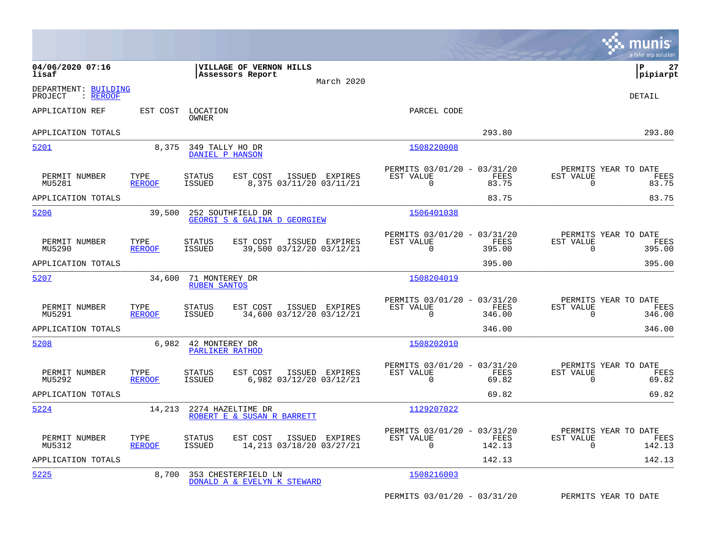|                                             |                       |                                         |                                                    |                |                                                         |                |                                                     | munis<br>a tyler erp solution |
|---------------------------------------------|-----------------------|-----------------------------------------|----------------------------------------------------|----------------|---------------------------------------------------------|----------------|-----------------------------------------------------|-------------------------------|
| 04/06/2020 07:16<br>lisaf                   |                       |                                         | VILLAGE OF VERNON HILLS<br>Assessors Report        | March 2020     |                                                         |                |                                                     | lР<br>27<br> pipiarpt         |
| DEPARTMENT: BUILDING<br>: REROOF<br>PROJECT |                       |                                         |                                                    |                |                                                         |                |                                                     | <b>DETAIL</b>                 |
| APPLICATION REF                             | EST COST              | LOCATION<br>OWNER                       |                                                    |                | PARCEL CODE                                             |                |                                                     |                               |
| APPLICATION TOTALS                          |                       |                                         |                                                    |                |                                                         | 293.80         |                                                     | 293.80                        |
| 5201                                        | 8,375                 | 349 TALLY HO DR<br>DANIEL P HANSON      |                                                    |                | 1508220008                                              |                |                                                     |                               |
| PERMIT NUMBER<br>MU5281                     | TYPE<br><b>REROOF</b> | <b>STATUS</b><br><b>ISSUED</b>          | EST COST<br>8,375 03/11/20 03/11/21                | ISSUED EXPIRES | PERMITS 03/01/20 - 03/31/20<br>EST VALUE<br>$\mathbf 0$ | FEES<br>83.75  | PERMITS YEAR TO DATE<br>EST VALUE<br>$\mathbf 0$    | FEES<br>83.75                 |
| APPLICATION TOTALS                          |                       |                                         |                                                    |                |                                                         | 83.75          |                                                     | 83.75                         |
| 5206                                        | 39,500                |                                         | 252 SOUTHFIELD DR<br>GEORGI S & GALINA D GEORGIEW  |                | 1506401038                                              |                |                                                     |                               |
| PERMIT NUMBER<br>MU5290                     | TYPE<br><b>REROOF</b> | <b>STATUS</b><br><b>ISSUED</b>          | EST COST<br>39,500 03/12/20 03/12/21               | ISSUED EXPIRES | PERMITS 03/01/20 - 03/31/20<br>EST VALUE<br>$\Omega$    | FEES<br>395.00 | PERMITS YEAR TO DATE<br>EST VALUE<br>$\Omega$       | FEES<br>395.00                |
| APPLICATION TOTALS                          |                       |                                         |                                                    |                |                                                         | 395.00         |                                                     | 395.00                        |
| 5207                                        | 34,600                | 71 MONTEREY DR<br><b>RUBEN SANTOS</b>   |                                                    |                | 1508204019                                              |                |                                                     |                               |
| PERMIT NUMBER<br>MU5291                     | TYPE<br><b>REROOF</b> | <b>STATUS</b><br><b>ISSUED</b>          | EST COST<br>34,600 03/12/20 03/12/21               | ISSUED EXPIRES | PERMITS 03/01/20 - 03/31/20<br>EST VALUE<br>$\mathbf 0$ | FEES<br>346.00 | PERMITS YEAR TO DATE<br>EST VALUE<br>$\overline{0}$ | FEES<br>346.00                |
| APPLICATION TOTALS                          |                       |                                         |                                                    |                |                                                         | 346.00         |                                                     | 346.00                        |
| 5208                                        |                       | 6,982 42 MONTEREY DR<br>PARLIKER RATHOD |                                                    |                | 1508202010                                              |                |                                                     |                               |
| PERMIT NUMBER<br>MU5292                     | TYPE<br><b>REROOF</b> | <b>STATUS</b><br><b>ISSUED</b>          | EST COST<br>6,982 03/12/20 03/12/21                | ISSUED EXPIRES | PERMITS 03/01/20 - 03/31/20<br>EST VALUE<br>$\Omega$    | FEES<br>69.82  | PERMITS YEAR TO DATE<br>EST VALUE<br>0              | FEES<br>69.82                 |
| APPLICATION TOTALS                          |                       |                                         |                                                    |                |                                                         | 69.82          |                                                     | 69.82                         |
| 5224                                        | 14,213                |                                         | 2274 HAZELTIME DR<br>ROBERT E & SUSAN R BARRETT    |                | 1129207022                                              |                |                                                     |                               |
| PERMIT NUMBER<br>MU5312                     | TYPE<br><b>REROOF</b> | <b>STATUS</b><br><b>ISSUED</b>          | EST COST<br>14,213 03/18/20 03/27/21               | ISSUED EXPIRES | PERMITS 03/01/20 - 03/31/20<br>EST VALUE<br>$\mathbf 0$ | FEES<br>142.13 | PERMITS YEAR TO DATE<br>EST VALUE<br>$\mathbf 0$    | FEES<br>142.13                |
| APPLICATION TOTALS                          |                       |                                         |                                                    |                |                                                         | 142.13         |                                                     | 142.13                        |
| 5225                                        | 8,700                 |                                         | 353 CHESTERFIELD LN<br>DONALD A & EVELYN K STEWARD |                | 1508216003                                              |                |                                                     |                               |
|                                             |                       |                                         |                                                    |                | PERMITS 03/01/20 - 03/31/20                             |                | PERMITS YEAR TO DATE                                |                               |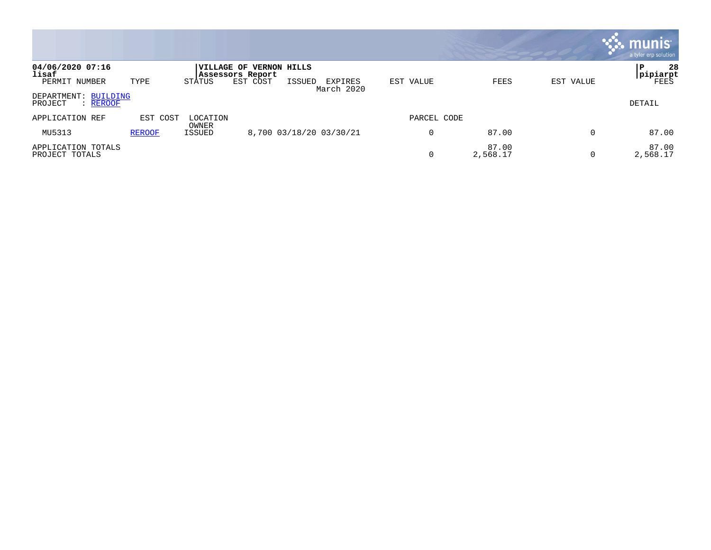|                                             |               |                        |                                             |        |                         |             |                   |           | munis<br>a tyler erp solution |
|---------------------------------------------|---------------|------------------------|---------------------------------------------|--------|-------------------------|-------------|-------------------|-----------|-------------------------------|
| 04/06/2020 07:16<br>lisaf                   |               |                        | VILLAGE OF VERNON HILLS<br>Assessors Report |        |                         |             |                   |           | Р<br>28<br> pipiarpt          |
| PERMIT NUMBER                               | TYPE          | STATUS                 | EST COST                                    | ISSUED | EXPIRES<br>March 2020   | EST VALUE   | FEES              | EST VALUE | FEES                          |
| DEPARTMENT: BUILDING<br>PROJECT<br>: REROOF |               |                        |                                             |        |                         |             |                   |           | DETAIL                        |
| APPLICATION REF                             | EST COST      | LOCATION               |                                             |        |                         | PARCEL CODE |                   |           |                               |
| MU5313                                      | <b>REROOF</b> | OWNER<br><b>ISSUED</b> |                                             |        | 8,700 03/18/20 03/30/21 |             | 87.00             | 0         | 87.00                         |
| APPLICATION TOTALS<br>PROJECT TOTALS        |               |                        |                                             |        |                         |             | 87.00<br>2,568.17 | U         | 87.00<br>2,568.17             |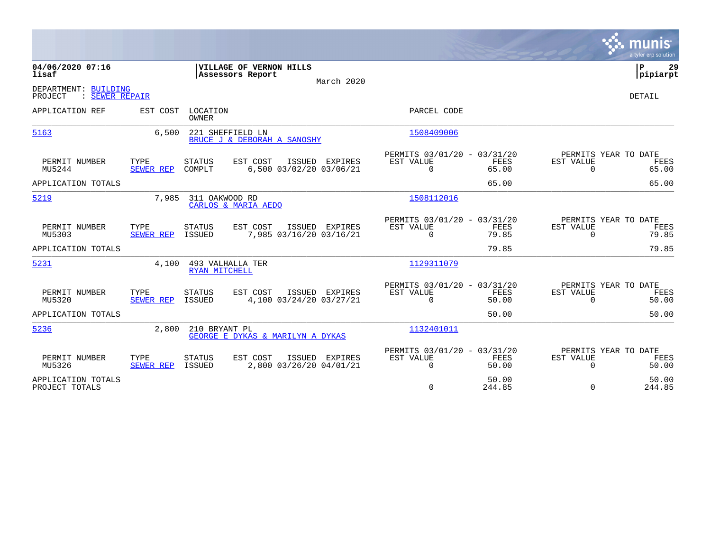|                                                   |                          |                                   |                                               |                |                                                      |                      |                              | munis<br>a tyler erp solution         |
|---------------------------------------------------|--------------------------|-----------------------------------|-----------------------------------------------|----------------|------------------------------------------------------|----------------------|------------------------------|---------------------------------------|
| 04/06/2020 07:16<br>lisaf                         |                          |                                   | VILLAGE OF VERNON HILLS<br>Assessors Report   | March 2020     |                                                      |                      |                              | ΙP<br>29<br> pipiarpt                 |
| DEPARTMENT: BUILDING<br>: SEWER REPAIR<br>PROJECT |                          |                                   |                                               |                |                                                      |                      |                              | DETAIL                                |
| APPLICATION REF                                   | EST COST                 | LOCATION<br>OWNER                 |                                               |                | PARCEL CODE                                          |                      |                              |                                       |
| 5163                                              | 6,500                    | 221 SHEFFIELD LN                  | BRUCE J & DEBORAH A SANOSHY                   |                | 1508409006                                           |                      |                              |                                       |
| PERMIT NUMBER<br>MU5244                           | TYPE<br>SEWER REP        | <b>STATUS</b><br>COMPLT           | EST COST<br>ISSUED<br>6,500 03/02/20 03/06/21 | EXPIRES        | PERMITS 03/01/20 - 03/31/20<br>EST VALUE<br>$\Omega$ | FEES<br>65.00        | EST VALUE<br>$\Omega$        | PERMITS YEAR TO DATE<br>FEES<br>65.00 |
| APPLICATION TOTALS                                |                          |                                   |                                               |                |                                                      | 65.00                |                              | 65.00                                 |
| 5219                                              | 7,985                    | 311 OAKWOOD RD                    | CARLOS & MARIA AEDO                           |                | 1508112016                                           |                      |                              |                                       |
| PERMIT NUMBER<br>MU5303                           | TYPE<br>SEWER REP        | <b>STATUS</b><br>ISSUED           | EST COST<br>7,985 03/16/20 03/16/21           | ISSUED EXPIRES | PERMITS 03/01/20 - 03/31/20<br>EST VALUE<br>$\Omega$ | FEES<br>79.85        | <b>EST VALUE</b><br>$\Omega$ | PERMITS YEAR TO DATE<br>FEES<br>79.85 |
| APPLICATION TOTALS                                |                          |                                   |                                               |                |                                                      | 79.85                |                              | 79.85                                 |
| 5231                                              | 4,100                    | 493 VALHALLA TER<br>RYAN MITCHELL |                                               |                | 1129311079                                           |                      |                              |                                       |
| PERMIT NUMBER<br>MU5320                           | TYPE<br>SEWER REP ISSUED | STATUS                            | EST COST<br>4,100 03/24/20 03/27/21           | ISSUED EXPIRES | PERMITS 03/01/20 - 03/31/20<br>EST VALUE<br>$\Omega$ | <b>FEES</b><br>50.00 | <b>EST VALUE</b><br>$\Omega$ | PERMITS YEAR TO DATE<br>FEES<br>50.00 |
| APPLICATION TOTALS                                |                          |                                   |                                               |                |                                                      | 50.00                |                              | 50.00                                 |
| 5236                                              | 2,800                    | 210 BRYANT PL                     | GEORGE E DYKAS & MARILYN A DYKAS              |                | 1132401011                                           |                      |                              |                                       |
| PERMIT NUMBER<br>MU5326                           | TYPE<br>SEWER REP        | STATUS<br><b>ISSUED</b>           | EST COST<br>ISSUED<br>2,800 03/26/20 04/01/21 | EXPIRES        | PERMITS 03/01/20 - 03/31/20<br>EST VALUE<br>0        | FEES<br>50.00        | EST VALUE<br>0               | PERMITS YEAR TO DATE<br>FEES<br>50.00 |
| APPLICATION TOTALS<br>PROJECT TOTALS              |                          |                                   |                                               |                | $\mathbf 0$                                          | 50.00<br>244.85      | $\Omega$                     | 50.00<br>244.85                       |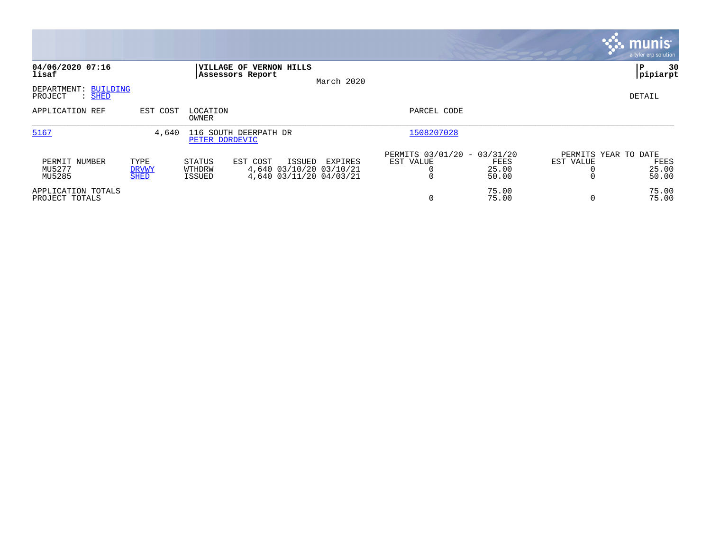|                                                       |                                     |                                   |                                                                                 |            |                                               |                        |                                   | <b>munis</b><br>a tyler erp solution |
|-------------------------------------------------------|-------------------------------------|-----------------------------------|---------------------------------------------------------------------------------|------------|-----------------------------------------------|------------------------|-----------------------------------|--------------------------------------|
| 04/06/2020 07:16<br>lisaf                             |                                     | Assessors Report                  | VILLAGE OF VERNON HILLS                                                         | March 2020 |                                               |                        |                                   | 30<br>l P<br> pipiarpt               |
| DEPARTMENT:<br><b>BUILDING</b><br>$:$ SHED<br>PROJECT |                                     |                                   |                                                                                 |            |                                               |                        |                                   | DETAIL                               |
| APPLICATION REF                                       | EST COST                            | LOCATION<br>OWNER                 |                                                                                 |            | PARCEL CODE                                   |                        |                                   |                                      |
| 5167                                                  | 4,640                               | PETER DORDEVIC                    | 116 SOUTH DEERPATH DR                                                           |            | 1508207028                                    |                        |                                   |                                      |
| PERMIT NUMBER<br>MU5277<br>MU5285                     | TYPE<br><b>DRVWY</b><br><b>SHED</b> | STATUS<br>WTHDRW<br><b>ISSUED</b> | EST COST<br><b>ISSUED</b><br>4,640 03/10/20 03/10/21<br>4,640 03/11/20 04/03/21 | EXPIRES    | PERMITS 03/01/20 - 03/31/20<br>EST VALUE<br>0 | FEES<br>25.00<br>50.00 | PERMITS YEAR TO DATE<br>EST VALUE | FEES<br>25.00<br>50.00               |
| APPLICATION TOTALS<br>PROJECT TOTALS                  |                                     |                                   |                                                                                 |            | $\mathbf 0$                                   | 75.00<br>75.00         |                                   | 75.00<br>75.00                       |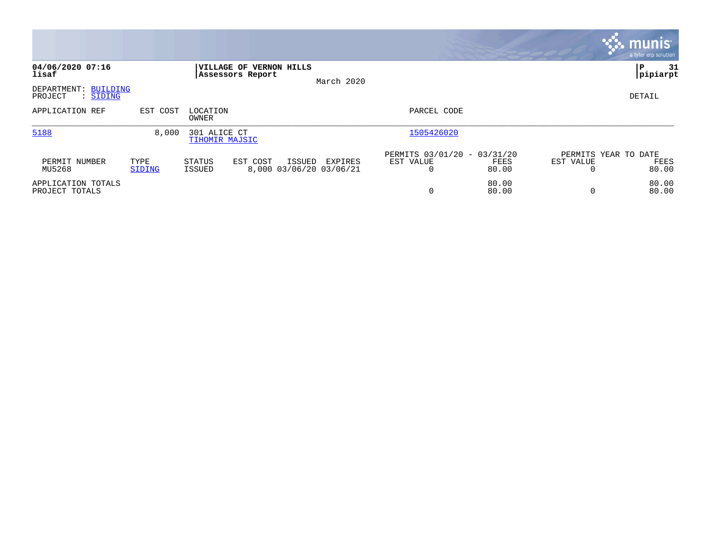|                                                       |                |                                                    |                                              |                                                                |           | <b>munis</b><br>a tyler erp solution  |
|-------------------------------------------------------|----------------|----------------------------------------------------|----------------------------------------------|----------------------------------------------------------------|-----------|---------------------------------------|
| 04/06/2020 07:16<br>lisaf                             |                | <b>VILLAGE OF VERNON HILLS</b><br>Assessors Report | March 2020                                   |                                                                |           | 31<br> P<br> pipiarpt                 |
| DEPARTMENT:<br>BUILDING<br>PROJECT<br>: <u>SIDING</u> |                |                                                    |                                              |                                                                |           | DETAIL                                |
| APPLICATION REF                                       | EST COST       | LOCATION<br>OWNER                                  |                                              | PARCEL CODE                                                    |           |                                       |
| 5188                                                  | 8,000          | 301 ALICE CT<br>TIHOMIR MAJSIC                     |                                              | 1505426020                                                     |           |                                       |
| PERMIT NUMBER<br>MU5268                               | TYPE<br>SIDING | STATUS<br>EST COST<br>ISSUED                       | ISSUED<br>EXPIRES<br>8,000 03/06/20 03/06/21 | PERMITS 03/01/20 - 03/31/20<br>EST VALUE<br>FEES<br>80.00<br>0 | EST VALUE | PERMITS YEAR TO DATE<br>FEES<br>80.00 |
| APPLICATION TOTALS<br>PROJECT TOTALS                  |                |                                                    |                                              | 80.00<br>0<br>80.00                                            | $\Omega$  | 80.00<br>80.00                        |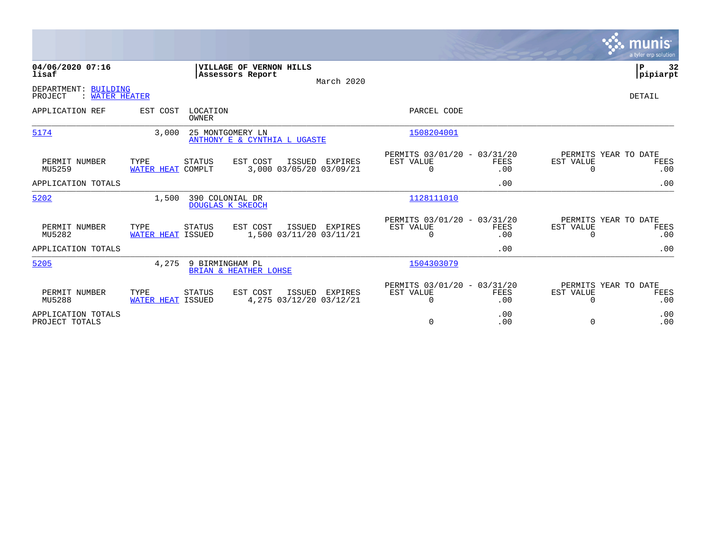|                                                   |                                  |                                          |                                               |                |                                                      |                    |                       | munis<br>a tyler erp solution       |
|---------------------------------------------------|----------------------------------|------------------------------------------|-----------------------------------------------|----------------|------------------------------------------------------|--------------------|-----------------------|-------------------------------------|
| 04/06/2020 07:16<br>lisaf                         |                                  | Assessors Report                         | VILLAGE OF VERNON HILLS                       | March 2020     |                                                      |                    |                       | l P<br>32<br> pipiarpt              |
| DEPARTMENT: BUILDING<br>: WATER HEATER<br>PROJECT |                                  |                                          |                                               |                |                                                      |                    |                       | <b>DETAIL</b>                       |
| APPLICATION REF                                   | EST COST                         | LOCATION<br><b>OWNER</b>                 |                                               |                | PARCEL CODE                                          |                    |                       |                                     |
| 5174                                              | 3,000                            | 25 MONTGOMERY LN                         | ANTHONY E & CYNTHIA L UGASTE                  |                | 1508204001                                           |                    |                       |                                     |
| PERMIT NUMBER<br>MU5259                           | TYPE<br><b>WATER HEAT COMPLT</b> | STATUS                                   | EST COST<br>ISSUED<br>3,000 03/05/20 03/09/21 | EXPIRES        | PERMITS 03/01/20 - 03/31/20<br>EST VALUE<br>$\Omega$ | <b>FEES</b><br>.00 | EST VALUE<br>$\Omega$ | PERMITS YEAR TO DATE<br>FEES<br>.00 |
| APPLICATION TOTALS                                |                                  |                                          |                                               |                |                                                      | .00                |                       | .00                                 |
| 5202                                              | 1,500                            | 390 COLONIAL DR<br>DOUGLAS K SKEOCH      |                                               |                | 1128111010                                           |                    |                       |                                     |
| PERMIT NUMBER<br>MU5282                           | TYPE<br>WATER HEAT ISSUED        | STATUS                                   | EST COST<br>1,500 03/11/20 03/11/21           | ISSUED EXPIRES | PERMITS 03/01/20 - 03/31/20<br>EST VALUE<br>$\Omega$ | <b>FEES</b><br>.00 | EST VALUE<br>$\Omega$ | PERMITS YEAR TO DATE<br>FEES<br>.00 |
| APPLICATION TOTALS                                |                                  |                                          |                                               |                |                                                      | .00                |                       | .00                                 |
| 5205                                              | 4,275                            | 9 BIRMINGHAM PL<br>BRIAN & HEATHER LOHSE |                                               |                | 1504303079                                           |                    |                       |                                     |
| PERMIT NUMBER<br>MU5288                           | TYPE<br>WATER HEAT ISSUED        | STATUS                                   | EST COST<br>ISSUED<br>4,275 03/12/20 03/12/21 | EXPIRES        | PERMITS 03/01/20 - 03/31/20<br>EST VALUE<br>$\Omega$ | FEES<br>.00        | EST VALUE<br>$\Omega$ | PERMITS YEAR TO DATE<br>FEES<br>.00 |
| APPLICATION TOTALS<br>PROJECT TOTALS              |                                  |                                          |                                               |                | 0                                                    | .00<br>.00         | 0                     | .00<br>.00                          |

**Contract**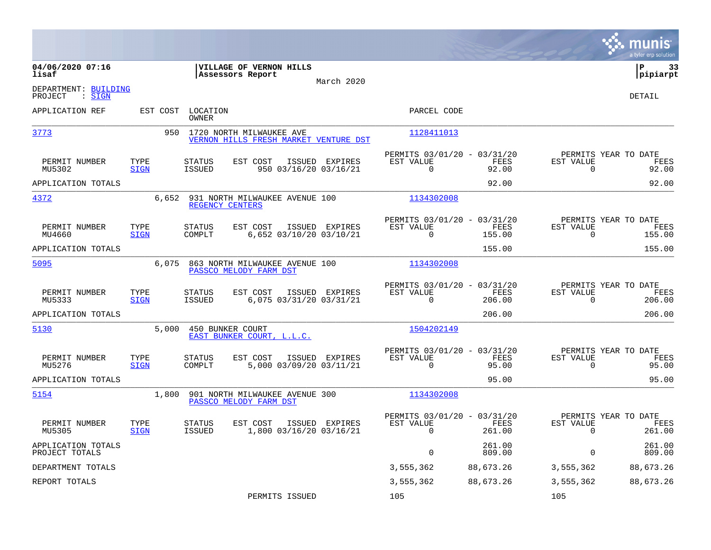|                                           |                     |                                |                                                                   |                                           |                                                         |                  |                          | munis<br>a tyler erp solution          |
|-------------------------------------------|---------------------|--------------------------------|-------------------------------------------------------------------|-------------------------------------------|---------------------------------------------------------|------------------|--------------------------|----------------------------------------|
| 04/06/2020 07:16<br>lisaf                 |                     |                                | VILLAGE OF VERNON HILLS<br>Assessors Report                       | March 2020                                |                                                         |                  |                          | ΙP<br>33<br> pipiarpt                  |
| DEPARTMENT: BUILDING<br>: SIGN<br>PROJECT |                     |                                |                                                                   |                                           |                                                         |                  |                          | <b>DETAIL</b>                          |
| APPLICATION REF                           | EST COST            | LOCATION<br><b>OWNER</b>       |                                                                   |                                           | PARCEL CODE                                             |                  |                          |                                        |
| 3773                                      | 950                 |                                | 1720 NORTH MILWAUKEE AVE<br>VERNON HILLS FRESH MARKET VENTURE DST |                                           | 1128411013                                              |                  |                          |                                        |
| PERMIT NUMBER<br>MU5302                   | TYPE<br><b>SIGN</b> | <b>STATUS</b><br><b>ISSUED</b> | EST COST                                                          | ISSUED EXPIRES<br>950 03/16/20 03/16/21   | PERMITS 03/01/20 - 03/31/20<br>EST VALUE<br>$\mathbf 0$ | FEES<br>92.00    | EST VALUE<br>$\mathbf 0$ | PERMITS YEAR TO DATE<br>FEES<br>92.00  |
| APPLICATION TOTALS                        |                     |                                |                                                                   |                                           |                                                         | 92.00            |                          | 92.00                                  |
| 4372                                      | 6,652               | REGENCY CENTERS                | 931 NORTH MILWAUKEE AVENUE 100                                    |                                           | 1134302008                                              |                  |                          |                                        |
| PERMIT NUMBER<br>MU4660                   | TYPE<br><b>SIGN</b> | <b>STATUS</b><br>COMPLT        | EST COST                                                          | ISSUED EXPIRES<br>6,652 03/10/20 03/10/21 | PERMITS 03/01/20 - 03/31/20<br>EST VALUE<br>0           | FEES<br>155.00   | EST VALUE<br>$\mathbf 0$ | PERMITS YEAR TO DATE<br>FEES<br>155.00 |
| APPLICATION TOTALS                        |                     |                                |                                                                   |                                           |                                                         | 155.00           |                          | 155.00                                 |
| 5095                                      | 6,075               |                                | 863 NORTH MILWAUKEE AVENUE 100<br>PASSCO MELODY FARM DST          |                                           | 1134302008                                              |                  |                          |                                        |
| PERMIT NUMBER<br>MU5333                   | TYPE<br><b>SIGN</b> | <b>STATUS</b><br><b>ISSUED</b> | EST COST                                                          | ISSUED EXPIRES<br>6,075 03/31/20 03/31/21 | PERMITS 03/01/20 - 03/31/20<br>EST VALUE<br>$\Omega$    | FEES<br>206.00   | EST VALUE<br>$\Omega$    | PERMITS YEAR TO DATE<br>FEES<br>206.00 |
| APPLICATION TOTALS                        |                     |                                |                                                                   |                                           |                                                         | 206.00           |                          | 206.00                                 |
| 5130                                      | 5,000               | 450 BUNKER COURT               | EAST BUNKER COURT, L.L.C.                                         |                                           | 1504202149                                              |                  |                          |                                        |
| PERMIT NUMBER<br>MU5276                   | TYPE<br><b>SIGN</b> | <b>STATUS</b><br>COMPLT        | EST COST                                                          | ISSUED EXPIRES<br>5,000 03/09/20 03/11/21 | PERMITS 03/01/20 - 03/31/20<br>EST VALUE<br>$\Omega$    | FEES<br>95.00    | EST VALUE<br>$\Omega$    | PERMITS YEAR TO DATE<br>FEES<br>95.00  |
| APPLICATION TOTALS                        |                     |                                |                                                                   |                                           |                                                         | 95.00            |                          | 95.00                                  |
| 5154                                      | 1,800               |                                | 901 NORTH MILWAUKEE AVENUE 300<br>PASSCO MELODY FARM DST          |                                           | 1134302008                                              |                  |                          |                                        |
| PERMIT NUMBER<br>MU5305                   | TYPE<br><b>SIGN</b> | <b>STATUS</b><br><b>ISSUED</b> | EST COST                                                          | ISSUED EXPIRES<br>1,800 03/16/20 03/16/21 | PERMITS 03/01/20 - 03/31/20<br>EST VALUE<br>$\Omega$    | FEES<br>261.00   | EST VALUE<br>$\Omega$    | PERMITS YEAR TO DATE<br>FEES<br>261.00 |
| APPLICATION TOTALS<br>PROJECT TOTALS      |                     |                                |                                                                   |                                           | $\Omega$                                                | 261.00<br>809.00 | $\Omega$                 | 261.00<br>809.00                       |
| DEPARTMENT TOTALS                         |                     |                                |                                                                   |                                           | 3,555,362                                               | 88,673.26        | 3,555,362                | 88,673.26                              |
| REPORT TOTALS                             |                     |                                |                                                                   |                                           | 3,555,362                                               | 88,673.26        | 3,555,362                | 88,673.26                              |
|                                           |                     |                                | PERMITS ISSUED                                                    |                                           | 105                                                     |                  | 105                      |                                        |